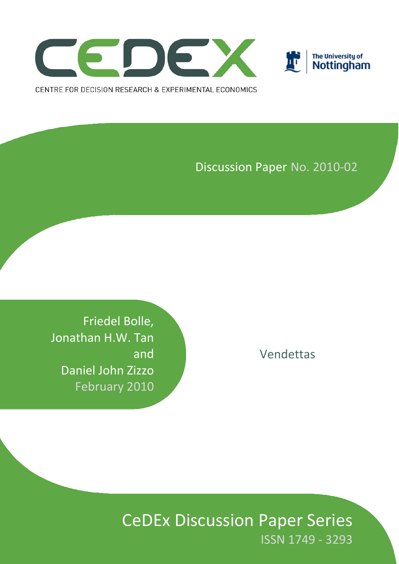



Discussion Paper No. 2010‐02

Vendettas

Friedel Bolle, Jonathan H.W. Tan and Daniel John Zizzo February 2010

> CeDEx Discussion Paper Series ISSN 1749 ‐ 3293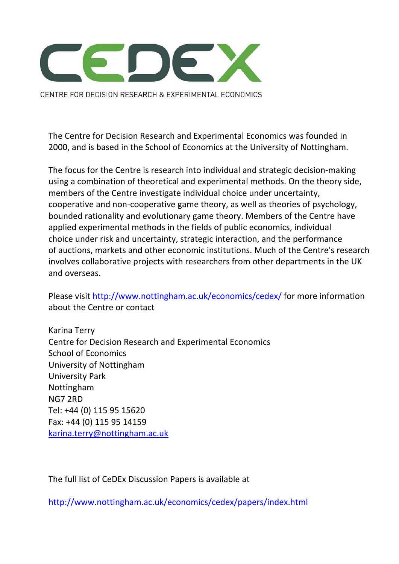

CENTRE FOR DECISION RESEARCH & EXPERIMENTAL ECONOMICS

The Centre for Decision Research and Experimental Economics was founded in 2000, and is based in the School of Economics at the University of Nottingham.

The focus for the Centre is research into individual and strategic decision‐making using a combination of theoretical and experimental methods. On the theory side, members of the Centre investigate individual choice under uncertainty, cooperative and non‐cooperative game theory, as well as theories of psychology, bounded rationality and evolutionary game theory. Members of the Centre have applied experimental methods in the fields of public economics, individual choice under risk and uncertainty, strategic interaction, and the performance of auctions, markets and other economic institutions. Much of the Centre's research involves collaborative projects with researchers from other departments in the UK and overseas.

Please visit http://www.nottingham.ac.uk/economics/cedex/ for more information about the Centre or contact

Karina Terry Centre for Decision Research and Experimental Economics School of Economics University of Nottingham University Park Nottingham NG7 2RD Tel: +44 (0) 115 95 15620 Fax: +44 (0) 115 95 14159 karina.terry@nottingham.ac.uk

The full list of CeDEx Discussion Papers is available at

http://www.nottingham.ac.uk/economics/cedex/papers/index.html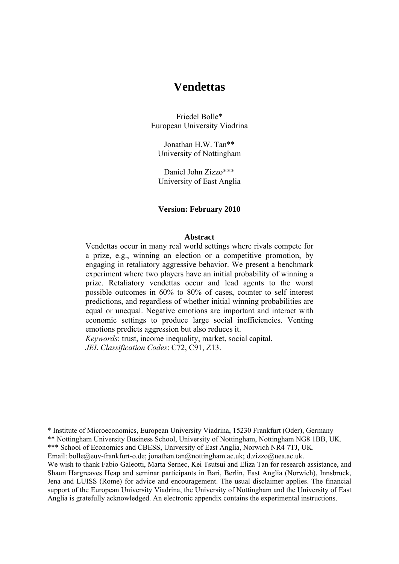# **Vendettas**

Friedel Bolle\* European University Viadrina

Jonathan H.W. Tan\*\* University of Nottingham

Daniel John Zizzo\*\*\* University of East Anglia

# **Version: February 2010**

#### **Abstract**

Vendettas occur in many real world settings where rivals compete for a prize, e.g., winning an election or a competitive promotion, by engaging in retaliatory aggressive behavior. We present a benchmark experiment where two players have an initial probability of winning a prize. Retaliatory vendettas occur and lead agents to the worst possible outcomes in 60% to 80% of cases, counter to self interest predictions, and regardless of whether initial winning probabilities are equal or unequal. Negative emotions are important and interact with economic settings to produce large social inefficiencies. Venting emotions predicts aggression but also reduces it.

*Keywords*: trust, income inequality, market, social capital. *JEL Classification Codes*: C72, C91, Z13.

\* Institute of Microeconomics, European University Viadrina, 15230 Frankfurt (Oder), Germany \*\* Nottingham University Business School, University of Nottingham, Nottingham NG8 1BB, UK. \*\*\* School of Economics and CBESS, University of East Anglia, Norwich NR4 7TJ, UK. Email: bolle@euv-frankfurt-o.de; jonathan.tan@nottingham.ac.uk; d.zizzo@uea.ac.uk. We wish to thank Fabio Galeotti, Marta Sernec, Kei Tsutsui and Eliza Tan for research assistance, and Shaun Hargreaves Heap and seminar participants in Bari, Berlin, East Anglia (Norwich), Innsbruck, Jena and LUISS (Rome) for advice and encouragement. The usual disclaimer applies. The financial support of the European University Viadrina, the University of Nottingham and the University of East Anglia is gratefully acknowledged. An electronic appendix contains the experimental instructions.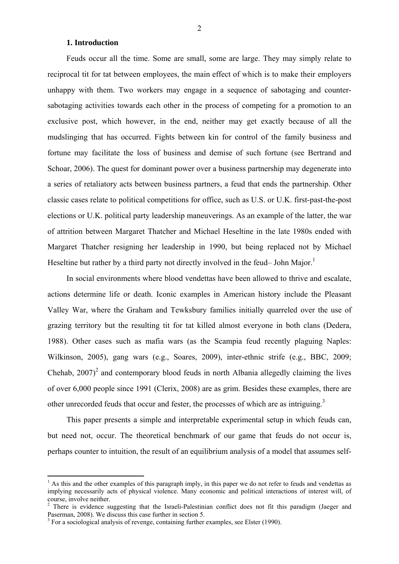### **1. Introduction**

Feuds occur all the time. Some are small, some are large. They may simply relate to reciprocal tit for tat between employees, the main effect of which is to make their employers unhappy with them. Two workers may engage in a sequence of sabotaging and countersabotaging activities towards each other in the process of competing for a promotion to an exclusive post, which however, in the end, neither may get exactly because of all the mudslinging that has occurred. Fights between kin for control of the family business and fortune may facilitate the loss of business and demise of such fortune (see Bertrand and Schoar, 2006). The quest for dominant power over a business partnership may degenerate into a series of retaliatory acts between business partners, a feud that ends the partnership. Other classic cases relate to political competitions for office, such as U.S. or U.K. first-past-the-post elections or U.K. political party leadership maneuverings. As an example of the latter, the war of attrition between Margaret Thatcher and Michael Heseltine in the late 1980s ended with Margaret Thatcher resigning her leadership in 1990, but being replaced not by Michael Heseltine but rather by a third party not directly involved in the feud– John Major.<sup>1</sup>

In social environments where blood vendettas have been allowed to thrive and escalate, actions determine life or death. Iconic examples in American history include the Pleasant Valley War, where the Graham and Tewksbury families initially quarreled over the use of grazing territory but the resulting tit for tat killed almost everyone in both clans (Dedera, 1988). Other cases such as mafia wars (as the Scampia feud recently plaguing Naples: Wilkinson, 2005), gang wars (e.g., Soares, 2009), inter-ethnic strife (e.g., BBC, 2009; Chehab,  $2007$ <sup>2</sup> and contemporary blood feuds in north Albania allegedly claiming the lives of over 6,000 people since 1991 (Clerix, 2008) are as grim. Besides these examples, there are other unrecorded feuds that occur and fester, the processes of which are as intriguing.<sup>3</sup>

This paper presents a simple and interpretable experimental setup in which feuds can, but need not, occur. The theoretical benchmark of our game that feuds do not occur is, perhaps counter to intuition, the result of an equilibrium analysis of a model that assumes self-

<sup>&</sup>lt;sup>1</sup> As this and the other examples of this paragraph imply, in this paper we do not refer to feuds and vendettas as implying necessarily acts of physical violence. Many economic and political interactions of interest will, of course, involve neither.

<sup>&</sup>lt;sup>2</sup> There is evidence suggesting that the Israeli-Palestinian conflict does not fit this paradigm (Jaeger and Paserman, 2008). We discuss this case further in section 5.

 $3$  For a sociological analysis of revenge, containing further examples, see Elster (1990).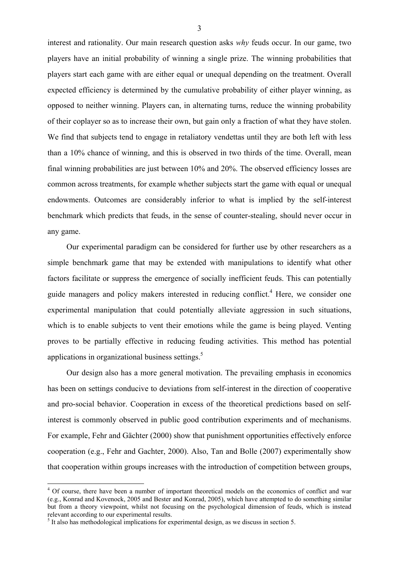interest and rationality. Our main research question asks *why* feuds occur. In our game, two players have an initial probability of winning a single prize. The winning probabilities that players start each game with are either equal or unequal depending on the treatment. Overall expected efficiency is determined by the cumulative probability of either player winning, as opposed to neither winning. Players can, in alternating turns, reduce the winning probability of their coplayer so as to increase their own, but gain only a fraction of what they have stolen. We find that subjects tend to engage in retaliatory vendettas until they are both left with less than a 10% chance of winning, and this is observed in two thirds of the time. Overall, mean final winning probabilities are just between 10% and 20%. The observed efficiency losses are common across treatments, for example whether subjects start the game with equal or unequal endowments. Outcomes are considerably inferior to what is implied by the self-interest benchmark which predicts that feuds, in the sense of counter-stealing, should never occur in any game.

Our experimental paradigm can be considered for further use by other researchers as a simple benchmark game that may be extended with manipulations to identify what other factors facilitate or suppress the emergence of socially inefficient feuds. This can potentially guide managers and policy makers interested in reducing conflict.<sup>4</sup> Here, we consider one experimental manipulation that could potentially alleviate aggression in such situations, which is to enable subjects to vent their emotions while the game is being played. Venting proves to be partially effective in reducing feuding activities. This method has potential applications in organizational business settings.<sup>5</sup>

Our design also has a more general motivation. The prevailing emphasis in economics has been on settings conducive to deviations from self-interest in the direction of cooperative and pro-social behavior. Cooperation in excess of the theoretical predictions based on selfinterest is commonly observed in public good contribution experiments and of mechanisms. For example, Fehr and Gächter (2000) show that punishment opportunities effectively enforce cooperation (e.g., Fehr and Gachter, 2000). Also, Tan and Bolle (2007) experimentally show that cooperation within groups increases with the introduction of competition between groups,

<sup>&</sup>lt;sup>4</sup> Of course, there have been a number of important theoretical models on the economics of conflict and war (e.g., Konrad and Kovenock, 2005 and Bester and Konrad, 2005), which have attempted to do something similar but from a theory viewpoint, whilst not focusing on the psychological dimension of feuds, which is instead relevant according to our experimental results.

 $<sup>5</sup>$  It also has methodological implications for experimental design, as we discuss in section 5.</sup>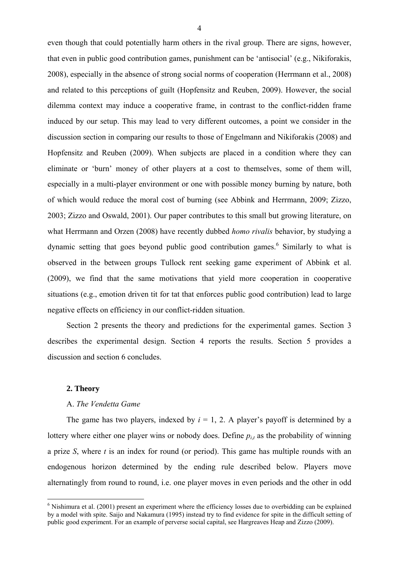even though that could potentially harm others in the rival group. There are signs, however, that even in public good contribution games, punishment can be 'antisocial' (e.g., Nikiforakis, 2008), especially in the absence of strong social norms of cooperation (Herrmann et al., 2008) and related to this perceptions of guilt (Hopfensitz and Reuben, 2009). However, the social dilemma context may induce a cooperative frame, in contrast to the conflict-ridden frame induced by our setup. This may lead to very different outcomes, a point we consider in the discussion section in comparing our results to those of Engelmann and Nikiforakis (2008) and Hopfensitz and Reuben (2009). When subjects are placed in a condition where they can eliminate or 'burn' money of other players at a cost to themselves, some of them will, especially in a multi-player environment or one with possible money burning by nature, both of which would reduce the moral cost of burning (see Abbink and Herrmann, 2009; Zizzo, 2003; Zizzo and Oswald, 2001). Our paper contributes to this small but growing literature, on what Herrmann and Orzen (2008) have recently dubbed *homo rivalis* behavior, by studying a dynamic setting that goes beyond public good contribution games.<sup>6</sup> Similarly to what is observed in the between groups Tullock rent seeking game experiment of Abbink et al. (2009), we find that the same motivations that yield more cooperation in cooperative situations (e.g., emotion driven tit for tat that enforces public good contribution) lead to large negative effects on efficiency in our conflict-ridden situation.

Section 2 presents the theory and predictions for the experimental games. Section 3 describes the experimental design. Section 4 reports the results. Section 5 provides a discussion and section 6 concludes.

## **2. Theory**

#### A. *The Vendetta Game*

The game has two players, indexed by  $i = 1, 2$ . A player's payoff is determined by a lottery where either one player wins or nobody does. Define  $p_{i,t}$  as the probability of winning a prize *S*, where *t* is an index for round (or period). This game has multiple rounds with an endogenous horizon determined by the ending rule described below. Players move alternatingly from round to round, i.e. one player moves in even periods and the other in odd

<sup>&</sup>lt;sup>6</sup> Nishimura et al. (2001) present an experiment where the efficiency losses due to overbidding can be explained by a model with spite. Saijo and Nakamura (1995) instead try to find evidence for spite in the difficult setting of public good experiment. For an example of perverse social capital, see Hargreaves Heap and Zizzo (2009).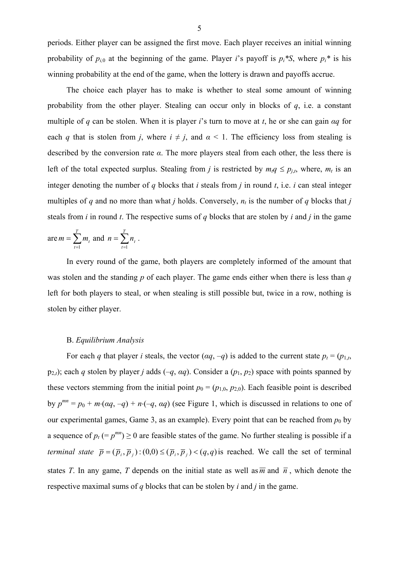periods. Either player can be assigned the first move. Each player receives an initial winning probability of  $p_{i,0}$  at the beginning of the game. Player *i*'s payoff is  $p_i$ <sup>\*</sup>S, where  $p_i$ <sup>\*</sup> is his winning probability at the end of the game, when the lottery is drawn and payoffs accrue.

The choice each player has to make is whether to steal some amount of winning probability from the other player. Stealing can occur only in blocks of *q*, i.e. a constant multiple of *q* can be stolen. When it is player *i*'s turn to move at *t*, he or she can gain *αq* for each *q* that is stolen from *j*, where  $i \neq j$ , and  $\alpha < 1$ . The efficiency loss from stealing is described by the conversion rate *α*. The more players steal from each other, the less there is left of the total expected surplus. Stealing from *j* is restricted by  $m_i q \le p_{j,t}$ , where,  $m_t$  is an integer denoting the number of  $q$  blocks that  $i$  steals from  $j$  in round  $t$ , i.e.  $i$  can steal integer multiples of *q* and no more than what *j* holds. Conversely,  $n_t$  is the number of *q* blocks that *j* steals from *i* in round *t*. The respective sums of *q* blocks that are stolen by *i* and *j* in the game

are 
$$
m = \sum_{t=1}^{T} m_t
$$
 and  $n = \sum_{t=1}^{T} n_t$ .

In every round of the game, both players are completely informed of the amount that was stolen and the standing *p* of each player. The game ends either when there is less than *q* left for both players to steal, or when stealing is still possible but, twice in a row, nothing is stolen by either player.

# B. *Equilibrium Analysis*

For each *q* that player *i* steals, the vector ( $\alpha q$ ,  $-q$ ) is added to the current state  $p_t = (p_{1,t}$ ,  $p_{2,i}$ ; each *q* stolen by player *j* adds (–*q*, *αq*). Consider a ( $p_1$ ,  $p_2$ ) space with points spanned by these vectors stemming from the initial point  $p_0 = (p_{1,0}, p_{2,0})$ . Each feasible point is described by  $p^{mn} = p_0 + m \cdot (aq, -q) + n \cdot (-q, aq)$  (see Figure 1, which is discussed in relations to one of our experimental games, Game 3, as an example). Every point that can be reached from  $p_0$  by a sequence of  $p_t$  (=  $p^{mn}$ )  $\geq$  0 are feasible states of the game. No further stealing is possible if a *terminal state*  $\bar{p} = (\bar{p}_i, \bar{p}_j)$ :  $(0,0) \le (\bar{p}_i, \bar{p}_j) < (q,q)$  is reached. We call the set of terminal states *T*. In any game, *T* depends on the initial state as well as  $\overline{m}$  and  $\overline{n}$ , which denote the respective maximal sums of *q* blocks that can be stolen by *i* and *j* in the game.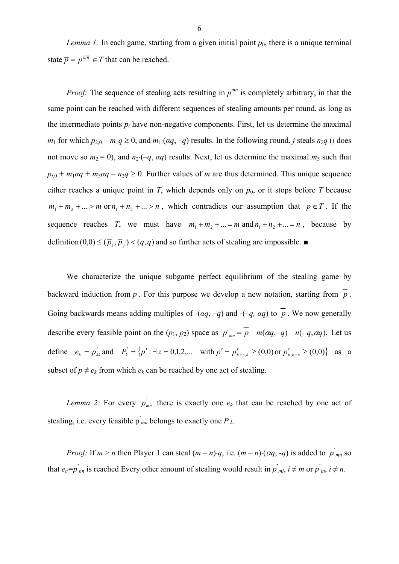*Lemma 1:* In each game, starting from a given initial point  $p_0$ , there is a unique terminal state  $\overline{p} = p^{\overline{mn}} \in T$  that can be reached.

*Proof:* The sequence of stealing acts resulting in  $p^{mn}$  is completely arbitrary, in that the same point can be reached with different sequences of stealing amounts per round, as long as the intermediate points  $p_t$  have non-negative components. First, let us determine the maximal *m*<sub>1</sub> for which  $p_{2,0} - m_1q \ge 0$ , and  $m_1 \cdot (aq, -q)$  results. In the following round, *j* steals  $n_2q$  (*i* does not move so  $m_2 = 0$ ), and  $n_2 \cdot (-q, \alpha q)$  results. Next, let us determine the maximal  $m_3$  such that  $p_{i,0} + m_1 \alpha q + m_3 \alpha q - n_2 q \ge 0$ . Further values of *m* are thus determined. This unique sequence either reaches a unique point in  $T$ , which depends only on  $p_0$ , or it stops before  $T$  because  $m_1 + m_2 + ... > \overline{m}$  or  $n_1 + n_2 + ... > \overline{n}$ , which contradicts our assumption that  $\overline{p} \in T$ . If the sequence reaches *T*, we must have  $m_1 + m_2 + ... = \overline{m}$  and  $n_1 + n_2 + ... = \overline{n}$ , because by definition  $(0,0) \leq (\bar{p}_i, \bar{p}_i) < (q,q)$  and so further acts of stealing are impossible.

We characterize the unique subgame perfect equilibrium of the stealing game by backward induction from  $\bar{p}$ . For this purpose we develop a new notation, starting from  $\bar{p}$ . Going backwards means adding multiples of  $-(\alpha q, -q)$  and  $-(-q, \alpha q)$  to p. We now generally describe every feasible point on the  $(p_1, p_2)$  space as  $p'_{mn} = \overline{p} - m(\alpha q, -q) - n(-q, \alpha q)$ . Let us define  $e_k = p_{kk}^{\dagger}$  and  $P_k^{\dagger} = \{p' : \exists z = 0,1,2,... \text{ with } p' = p'_{k+z,k} \ge (0,0) \text{ or } p'_{k,k+z} \ge (0,0)\}$  as a subset of  $p \neq e_k$  from which  $e_k$  can be reached by one act of stealing.

*Lemma 2:* For every  $p_{mn}$  there is exactly one  $e_k$  that can be reached by one act of stealing, i.e. every feasible  $\vec{p}_{mn}$  belongs to exactly one  $\vec{P}_k$ .

*Proof:* If  $m > n$  then Player 1 can steal  $(m - n) \cdot q$ , i.e.  $(m - n) \cdot (\alpha q, -q)$  is added to  $p \mid_{mn}^{\infty}$  so that  $e_n = p'_{nn}$  is reached Every other amount of stealing would result in  $p'_{mi}$ ,  $i \neq m$  or  $p'_{in}$ ,  $i \neq n$ .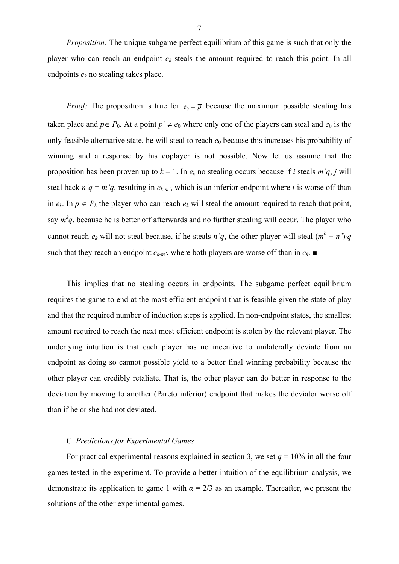*Proposition:* The unique subgame perfect equilibrium of this game is such that only the player who can reach an endpoint *ek* steals the amount required to reach this point. In all endpoints *ek* no stealing takes place.

*Proof:* The proposition is true for  $e_0 = \overline{p}$  because the maximum possible stealing has taken place and  $p \in P_0$ . At a point  $p' \neq e_0$  where only one of the players can steal and  $e_0$  is the only feasible alternative state, he will steal to reach  $e_0$  because this increases his probability of winning and a response by his coplayer is not possible. Now let us assume that the proposition has been proven up to  $k - 1$ . In  $e_k$  no stealing occurs because if *i* steals  $m'q$ , *j* will steal back  $n'q = m'q$ , resulting in  $e_{k-m'}$ , which is an inferior endpoint where *i* is worse off than in  $e_k$ . In  $p \in P_k$  the player who can reach  $e_k$  will steal the amount required to reach that point, say  $m^k q$ , because he is better off afterwards and no further stealing will occur. The player who cannot reach  $e_k$  will not steal because, if he steals  $n'q$ , the other player will steal  $(m^k + n')\cdot q$ such that they reach an endpoint  $e_{k-m}$ , where both players are worse off than in  $e_k$ .

This implies that no stealing occurs in endpoints. The subgame perfect equilibrium requires the game to end at the most efficient endpoint that is feasible given the state of play and that the required number of induction steps is applied. In non-endpoint states, the smallest amount required to reach the next most efficient endpoint is stolen by the relevant player. The underlying intuition is that each player has no incentive to unilaterally deviate from an endpoint as doing so cannot possible yield to a better final winning probability because the other player can credibly retaliate. That is, the other player can do better in response to the deviation by moving to another (Pareto inferior) endpoint that makes the deviator worse off than if he or she had not deviated.

### C. *Predictions for Experimental Games*

For practical experimental reasons explained in section 3, we set  $q = 10\%$  in all the four games tested in the experiment. To provide a better intuition of the equilibrium analysis, we demonstrate its application to game 1 with  $\alpha = 2/3$  as an example. Thereafter, we present the solutions of the other experimental games.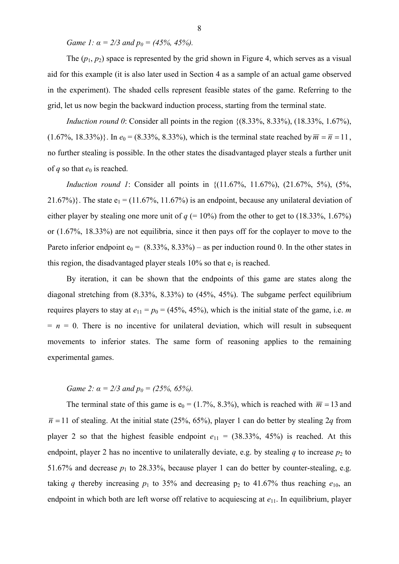*Game 1:*  $\alpha = 2/3$  *and*  $p_0 = (45\%, 45\%)$ .

The  $(p_1, p_2)$  space is represented by the grid shown in Figure 4, which serves as a visual aid for this example (it is also later used in Section 4 as a sample of an actual game observed in the experiment). The shaded cells represent feasible states of the game. Referring to the grid, let us now begin the backward induction process, starting from the terminal state.

*Induction round 0*: Consider all points in the region  $\{(8.33\%, 8.33\%), (18.33\%, 1.67\%).\}$  $(1.67\%, 18.33\%)$ . In  $e_0 = (8.33\%, 8.33\%)$ , which is the terminal state reached by  $\overline{m} = \overline{n} = 11$ , no further stealing is possible. In the other states the disadvantaged player steals a further unit of *q* so that  $e_0$  is reached.

*Induction round 1*: Consider all points in  $\{(11.67\%, 11.67\%), (21.67\%, 5\%), (5\%,$ 21.67%)}. The state  $e_1 = (11.67\%, 11.67\%)$  is an endpoint, because any unilateral deviation of either player by stealing one more unit of  $q (= 10\%)$  from the other to get to  $(18.33\%, 1.67\%)$ or (1.67%, 18.33%) are not equilibria, since it then pays off for the coplayer to move to the Pareto inferior endpoint  $e_0 = (8.33\%, 8.33\%)$  – as per induction round 0. In the other states in this region, the disadvantaged player steals  $10\%$  so that  $e_1$  is reached.

By iteration, it can be shown that the endpoints of this game are states along the diagonal stretching from (8.33%, 8.33%) to (45%, 45%). The subgame perfect equilibrium requires players to stay at  $e_{11} = p_0 = (45\%, 45\%)$ , which is the initial state of the game, i.e. *m*  $= n = 0$ . There is no incentive for unilateral deviation, which will result in subsequent movements to inferior states. The same form of reasoning applies to the remaining experimental games.

# *Game 2:*  $\alpha = 2/3$  *and*  $p_0 = (25\%, 65\%)$ .

The terminal state of this game is  $e_0 = (1.7\%, 8.3\%)$ , which is reached with  $\overline{m} = 13$  and  $\overline{n}$  = 11 of stealing. At the initial state (25%, 65%), player 1 can do better by stealing 2*q* from player 2 so that the highest feasible endpoint  $e_{11} = (38.33\%, 45\%)$  is reached. At this endpoint, player 2 has no incentive to unilaterally deviate, e.g. by stealing *q* to increase  $p_2$  to 51.67% and decrease  $p_1$  to 28.33%, because player 1 can do better by counter-stealing, e.g. taking *q* thereby increasing  $p_1$  to 35% and decreasing  $p_2$  to 41.67% thus reaching  $e_{10}$ , an endpoint in which both are left worse off relative to acquiescing at  $e_{11}$ . In equilibrium, player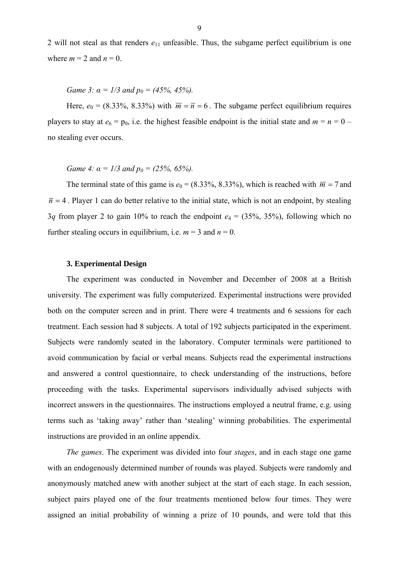2 will not steal as that renders  $e_{11}$  unfeasible. Thus, the subgame perfect equilibrium is one where  $m = 2$  and  $n = 0$ .

*Game 3:*  $\alpha = 1/3$  *and*  $p_0 = (45\%, 45\%).$ 

Here,  $e_0 = (8.33\%, 8.33\%)$  with  $\overline{m} = \overline{n} = 6$ . The subgame perfect equilibrium requires players to stay at  $e_6 = p_0$ , i.e. the highest feasible endpoint is the initial state and  $m = n = 0$  – no stealing ever occurs.

*Game 4:*  $\alpha = 1/3$  *and*  $p_0 = (25\%, 65\%)$ .

The terminal state of this game is  $e_0 = (8.33\%, 8.33\%)$ , which is reached with  $\overline{m} = 7$  and  $\overline{n}$  = 4. Player 1 can do better relative to the initial state, which is not an endpoint, by stealing 3*q* from player 2 to gain 10% to reach the endpoint  $e_4 = (35\%, 35\%)$ , following which no further stealing occurs in equilibrium, i.e.  $m = 3$  and  $n = 0$ .

### **3. Experimental Design**

The experiment was conducted in November and December of 2008 at a British university. The experiment was fully computerized. Experimental instructions were provided both on the computer screen and in print. There were 4 treatments and 6 sessions for each treatment. Each session had 8 subjects. A total of 192 subjects participated in the experiment. Subjects were randomly seated in the laboratory. Computer terminals were partitioned to avoid communication by facial or verbal means. Subjects read the experimental instructions and answered a control questionnaire, to check understanding of the instructions, before proceeding with the tasks. Experimental supervisors individually advised subjects with incorrect answers in the questionnaires. The instructions employed a neutral frame, e.g. using terms such as 'taking away' rather than 'stealing' winning probabilities. The experimental instructions are provided in an online appendix.

*The games*. The experiment was divided into four *stages*, and in each stage one game with an endogenously determined number of rounds was played. Subjects were randomly and anonymously matched anew with another subject at the start of each stage. In each session, subject pairs played one of the four treatments mentioned below four times. They were assigned an initial probability of winning a prize of 10 pounds, and were told that this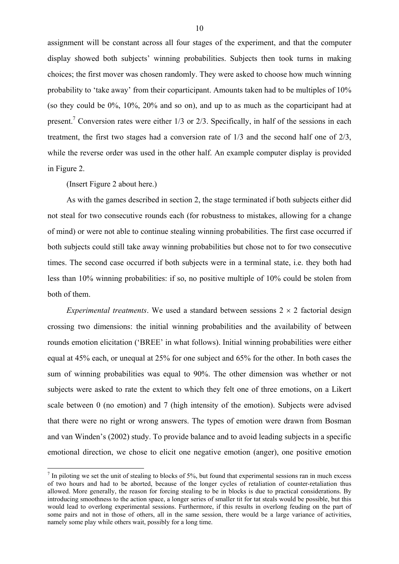assignment will be constant across all four stages of the experiment, and that the computer display showed both subjects' winning probabilities. Subjects then took turns in making choices; the first mover was chosen randomly. They were asked to choose how much winning probability to 'take away' from their coparticipant. Amounts taken had to be multiples of 10% (so they could be 0%, 10%, 20% and so on), and up to as much as the coparticipant had at present.<sup>7</sup> Conversion rates were either  $1/3$  or  $2/3$ . Specifically, in half of the sessions in each treatment, the first two stages had a conversion rate of 1/3 and the second half one of 2/3, while the reverse order was used in the other half. An example computer display is provided in Figure 2.

(Insert Figure 2 about here.)

1

As with the games described in section 2, the stage terminated if both subjects either did not steal for two consecutive rounds each (for robustness to mistakes, allowing for a change of mind) or were not able to continue stealing winning probabilities. The first case occurred if both subjects could still take away winning probabilities but chose not to for two consecutive times. The second case occurred if both subjects were in a terminal state, i.e. they both had less than 10% winning probabilities: if so, no positive multiple of 10% could be stolen from both of them.

*Experimental treatments.* We used a standard between sessions  $2 \times 2$  factorial design crossing two dimensions: the initial winning probabilities and the availability of between rounds emotion elicitation ('BREE' in what follows). Initial winning probabilities were either equal at 45% each, or unequal at 25% for one subject and 65% for the other. In both cases the sum of winning probabilities was equal to 90%. The other dimension was whether or not subjects were asked to rate the extent to which they felt one of three emotions, on a Likert scale between 0 (no emotion) and 7 (high intensity of the emotion). Subjects were advised that there were no right or wrong answers. The types of emotion were drawn from Bosman and van Winden's (2002) study. To provide balance and to avoid leading subjects in a specific emotional direction, we chose to elicit one negative emotion (anger), one positive emotion

 $<sup>7</sup>$  In piloting we set the unit of stealing to blocks of 5%, but found that experimental sessions ran in much excess</sup> of two hours and had to be aborted, because of the longer cycles of retaliation of counter-retaliation thus allowed. More generally, the reason for forcing stealing to be in blocks is due to practical considerations. By introducing smoothness to the action space, a longer series of smaller tit for tat steals would be possible, but this would lead to overlong experimental sessions. Furthermore, if this results in overlong feuding on the part of some pairs and not in those of others, all in the same session, there would be a large variance of activities, namely some play while others wait, possibly for a long time.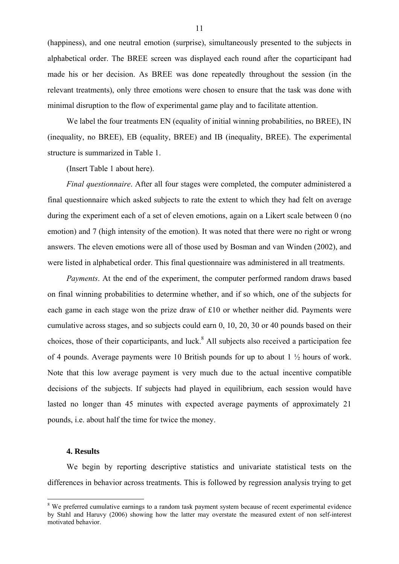(happiness), and one neutral emotion (surprise), simultaneously presented to the subjects in alphabetical order. The BREE screen was displayed each round after the coparticipant had made his or her decision. As BREE was done repeatedly throughout the session (in the relevant treatments), only three emotions were chosen to ensure that the task was done with minimal disruption to the flow of experimental game play and to facilitate attention.

We label the four treatments EN (equality of initial winning probabilities, no BREE), IN (inequality, no BREE), EB (equality, BREE) and IB (inequality, BREE). The experimental structure is summarized in Table 1.

(Insert Table 1 about here).

*Final questionnaire*. After all four stages were completed, the computer administered a final questionnaire which asked subjects to rate the extent to which they had felt on average during the experiment each of a set of eleven emotions, again on a Likert scale between 0 (no emotion) and 7 (high intensity of the emotion). It was noted that there were no right or wrong answers. The eleven emotions were all of those used by Bosman and van Winden (2002), and were listed in alphabetical order. This final questionnaire was administered in all treatments.

*Payments*. At the end of the experiment, the computer performed random draws based on final winning probabilities to determine whether, and if so which, one of the subjects for each game in each stage won the prize draw of £10 or whether neither did. Payments were cumulative across stages, and so subjects could earn 0, 10, 20, 30 or 40 pounds based on their choices, those of their coparticipants, and luck.<sup>8</sup> All subjects also received a participation fee of 4 pounds. Average payments were 10 British pounds for up to about 1 ½ hours of work. Note that this low average payment is very much due to the actual incentive compatible decisions of the subjects. If subjects had played in equilibrium, each session would have lasted no longer than 45 minutes with expected average payments of approximately 21 pounds, i.e. about half the time for twice the money.

#### **4. Results**

1

We begin by reporting descriptive statistics and univariate statistical tests on the differences in behavior across treatments. This is followed by regression analysis trying to get

<sup>&</sup>lt;sup>8</sup> We preferred cumulative earnings to a random task payment system because of recent experimental evidence by Stahl and Haruvy (2006) showing how the latter may overstate the measured extent of non self-interest motivated behavior.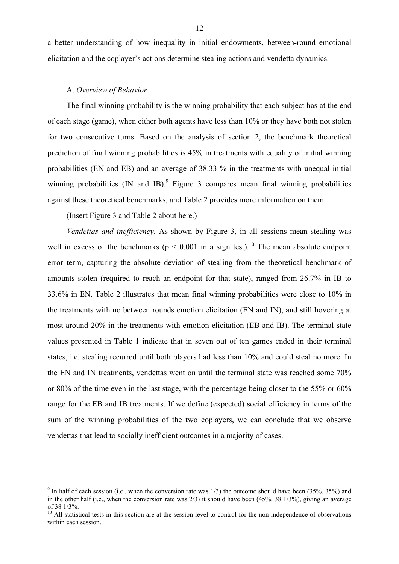a better understanding of how inequality in initial endowments, between-round emotional elicitation and the coplayer's actions determine stealing actions and vendetta dynamics.

#### A. *Overview of Behavior*

The final winning probability is the winning probability that each subject has at the end of each stage (game), when either both agents have less than 10% or they have both not stolen for two consecutive turns. Based on the analysis of section 2, the benchmark theoretical prediction of final winning probabilities is 45% in treatments with equality of initial winning probabilities (EN and EB) and an average of 38.33 % in the treatments with unequal initial winning probabilities  $(IN \text{ and } IB)^9$  Figure 3 compares mean final winning probabilities against these theoretical benchmarks, and Table 2 provides more information on them.

(Insert Figure 3 and Table 2 about here.)

1

*Vendettas and inefficiency*. As shown by Figure 3, in all sessions mean stealing was well in excess of the benchmarks ( $p \le 0.001$  in a sign test).<sup>10</sup> The mean absolute endpoint error term, capturing the absolute deviation of stealing from the theoretical benchmark of amounts stolen (required to reach an endpoint for that state), ranged from 26.7% in IB to 33.6% in EN. Table 2 illustrates that mean final winning probabilities were close to 10% in the treatments with no between rounds emotion elicitation (EN and IN), and still hovering at most around 20% in the treatments with emotion elicitation (EB and IB). The terminal state values presented in Table 1 indicate that in seven out of ten games ended in their terminal states, i.e. stealing recurred until both players had less than 10% and could steal no more. In the EN and IN treatments, vendettas went on until the terminal state was reached some 70% or 80% of the time even in the last stage, with the percentage being closer to the 55% or 60% range for the EB and IB treatments. If we define (expected) social efficiency in terms of the sum of the winning probabilities of the two coplayers, we can conclude that we observe vendettas that lead to socially inefficient outcomes in a majority of cases.

<sup>&</sup>lt;sup>9</sup> In half of each session (i.e., when the conversion rate was  $1/3$ ) the outcome should have been (35%, 35%) and in the other half (i.e., when the conversion rate was 2/3) it should have been (45%, 38 1/3%), giving an average of 38 1/3%.

<sup>&</sup>lt;sup>10</sup> All statistical tests in this section are at the session level to control for the non independence of observations within each session.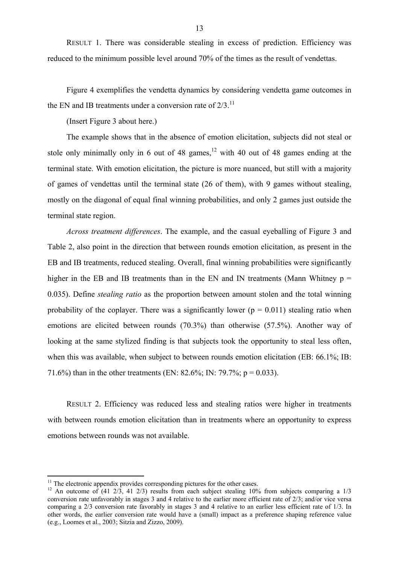RESULT 1. There was considerable stealing in excess of prediction. Efficiency was reduced to the minimum possible level around 70% of the times as the result of vendettas.

Figure 4 exemplifies the vendetta dynamics by considering vendetta game outcomes in the EN and IB treatments under a conversion rate of  $2/3$ .<sup>11</sup>

(Insert Figure 3 about here.)

The example shows that in the absence of emotion elicitation, subjects did not steal or stole only minimally only in 6 out of 48 games, $12$  with 40 out of 48 games ending at the terminal state. With emotion elicitation, the picture is more nuanced, but still with a majority of games of vendettas until the terminal state (26 of them), with 9 games without stealing, mostly on the diagonal of equal final winning probabilities, and only 2 games just outside the terminal state region.

*Across treatment differences*. The example, and the casual eyeballing of Figure 3 and Table 2, also point in the direction that between rounds emotion elicitation, as present in the EB and IB treatments, reduced stealing. Overall, final winning probabilities were significantly higher in the EB and IB treatments than in the EN and IN treatments (Mann Whitney  $p =$ 0.035). Define *stealing ratio* as the proportion between amount stolen and the total winning probability of the coplayer. There was a significantly lower ( $p = 0.011$ ) stealing ratio when emotions are elicited between rounds (70.3%) than otherwise (57.5%). Another way of looking at the same stylized finding is that subjects took the opportunity to steal less often, when this was available, when subject to between rounds emotion elicitation (EB: 66.1%; IB: 71.6%) than in the other treatments (EN: 82.6%; IN: 79.7%;  $p = 0.033$ ).

RESULT 2. Efficiency was reduced less and stealing ratios were higher in treatments with between rounds emotion elicitation than in treatments where an opportunity to express emotions between rounds was not available.

 $11$  The electronic appendix provides corresponding pictures for the other cases.

<sup>&</sup>lt;sup>12</sup> An outcome of (41  $\frac{1}{2}$ , 41  $\frac{2}{3}$ ) results from each subject stealing 10% from subjects comparing a 1/3 conversion rate unfavorably in stages 3 and 4 relative to the earlier more efficient rate of 2/3; and/or vice versa comparing a 2/3 conversion rate favorably in stages 3 and 4 relative to an earlier less efficient rate of 1/3. In other words, the earlier conversion rate would have a (small) impact as a preference shaping reference value (e.g., Loomes et al., 2003; Sitzia and Zizzo, 2009).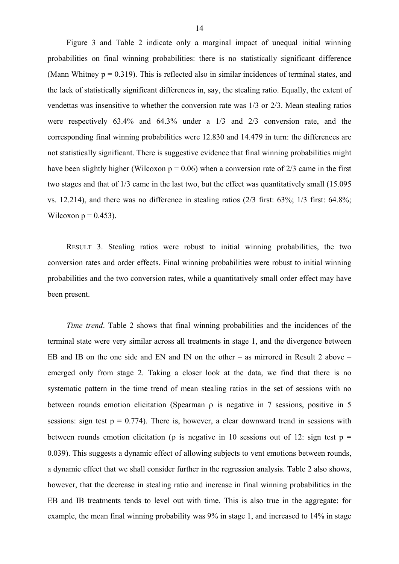Figure 3 and Table 2 indicate only a marginal impact of unequal initial winning probabilities on final winning probabilities: there is no statistically significant difference (Mann Whitney  $p = 0.319$ ). This is reflected also in similar incidences of terminal states, and the lack of statistically significant differences in, say, the stealing ratio. Equally, the extent of vendettas was insensitive to whether the conversion rate was 1/3 or 2/3. Mean stealing ratios were respectively 63.4% and 64.3% under a 1/3 and 2/3 conversion rate, and the corresponding final winning probabilities were 12.830 and 14.479 in turn: the differences are not statistically significant. There is suggestive evidence that final winning probabilities might have been slightly higher (Wilcoxon  $p = 0.06$ ) when a conversion rate of 2/3 came in the first two stages and that of 1/3 came in the last two, but the effect was quantitatively small (15.095 vs. 12.214), and there was no difference in stealing ratios (2/3 first: 63%; 1/3 first: 64.8%; Wilcoxon  $p = 0.453$ ).

RESULT 3. Stealing ratios were robust to initial winning probabilities, the two conversion rates and order effects. Final winning probabilities were robust to initial winning probabilities and the two conversion rates, while a quantitatively small order effect may have been present.

*Time trend*. Table 2 shows that final winning probabilities and the incidences of the terminal state were very similar across all treatments in stage 1, and the divergence between EB and IB on the one side and EN and IN on the other – as mirrored in Result 2 above – emerged only from stage 2. Taking a closer look at the data, we find that there is no systematic pattern in the time trend of mean stealing ratios in the set of sessions with no between rounds emotion elicitation (Spearman ρ is negative in 7 sessions, positive in 5 sessions: sign test  $p = 0.774$ ). There is, however, a clear downward trend in sessions with between rounds emotion elicitation ( $\rho$  is negative in 10 sessions out of 12: sign test  $p =$ 0.039). This suggests a dynamic effect of allowing subjects to vent emotions between rounds, a dynamic effect that we shall consider further in the regression analysis. Table 2 also shows, however, that the decrease in stealing ratio and increase in final winning probabilities in the EB and IB treatments tends to level out with time. This is also true in the aggregate: for example, the mean final winning probability was 9% in stage 1, and increased to 14% in stage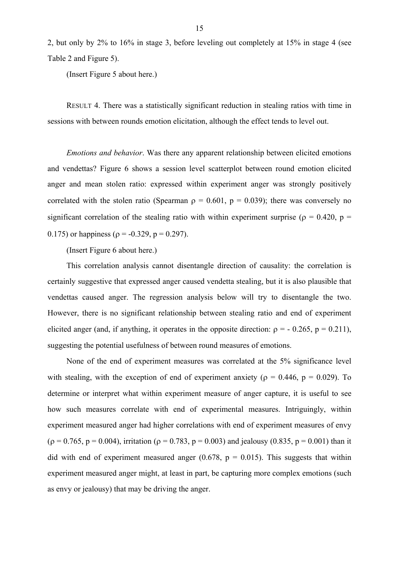2, but only by 2% to 16% in stage 3, before leveling out completely at 15% in stage 4 (see Table 2 and Figure 5).

(Insert Figure 5 about here.)

RESULT 4. There was a statistically significant reduction in stealing ratios with time in sessions with between rounds emotion elicitation, although the effect tends to level out.

*Emotions and behavior*. Was there any apparent relationship between elicited emotions and vendettas? Figure 6 shows a session level scatterplot between round emotion elicited anger and mean stolen ratio: expressed within experiment anger was strongly positively correlated with the stolen ratio (Spearman  $\rho = 0.601$ ,  $p = 0.039$ ); there was conversely no significant correlation of the stealing ratio with within experiment surprise ( $\rho = 0.420$ ,  $p =$ 0.175) or happiness ( $\rho = -0.329$ ,  $p = 0.297$ ).

(Insert Figure 6 about here.)

This correlation analysis cannot disentangle direction of causality: the correlation is certainly suggestive that expressed anger caused vendetta stealing, but it is also plausible that vendettas caused anger. The regression analysis below will try to disentangle the two. However, there is no significant relationship between stealing ratio and end of experiment elicited anger (and, if anything, it operates in the opposite direction:  $\rho = -0.265$ ,  $p = 0.211$ ), suggesting the potential usefulness of between round measures of emotions.

None of the end of experiment measures was correlated at the 5% significance level with stealing, with the exception of end of experiment anxiety ( $\rho = 0.446$ ,  $p = 0.029$ ). To determine or interpret what within experiment measure of anger capture, it is useful to see how such measures correlate with end of experimental measures. Intriguingly, within experiment measured anger had higher correlations with end of experiment measures of envy  $(p = 0.765, p = 0.004)$ , irritation  $(p = 0.783, p = 0.003)$  and jealousy  $(0.835, p = 0.001)$  than it did with end of experiment measured anger  $(0.678, p = 0.015)$ . This suggests that within experiment measured anger might, at least in part, be capturing more complex emotions (such as envy or jealousy) that may be driving the anger.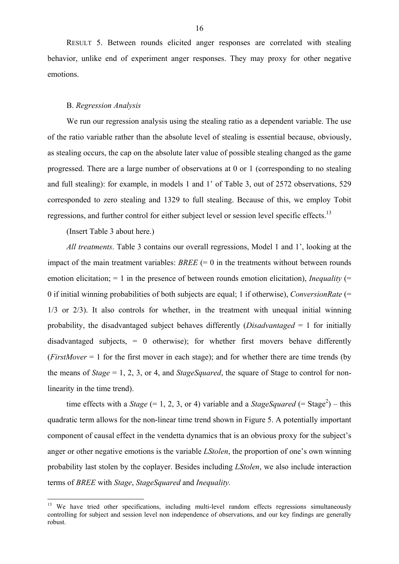RESULT 5. Between rounds elicited anger responses are correlated with stealing behavior, unlike end of experiment anger responses. They may proxy for other negative emotions.

## B. *Regression Analysis*

We run our regression analysis using the stealing ratio as a dependent variable. The use of the ratio variable rather than the absolute level of stealing is essential because, obviously, as stealing occurs, the cap on the absolute later value of possible stealing changed as the game progressed. There are a large number of observations at 0 or 1 (corresponding to no stealing and full stealing): for example, in models 1 and 1' of Table 3, out of 2572 observations, 529 corresponded to zero stealing and 1329 to full stealing. Because of this, we employ Tobit regressions, and further control for either subject level or session level specific effects.<sup>13</sup>

(Insert Table 3 about here.)

1

*All treatments*. Table 3 contains our overall regressions, Model 1 and 1', looking at the impact of the main treatment variables:  $BREE (= 0$  in the treatments without between rounds emotion elicitation; = 1 in the presence of between rounds emotion elicitation), *Inequality* (= 0 if initial winning probabilities of both subjects are equal; 1 if otherwise), *ConversionRate* (= 1/3 or 2/3). It also controls for whether, in the treatment with unequal initial winning probability, the disadvantaged subject behaves differently (*Disadvantaged* = 1 for initially disadvantaged subjects,  $= 0$  otherwise); for whether first movers behave differently (*FirstMover* = 1 for the first mover in each stage); and for whether there are time trends (by the means of *Stage* = 1, 2, 3, or 4, and *StageSquared*, the square of Stage to control for nonlinearity in the time trend).

time effects with a *Stage* (= 1, 2, 3, or 4) variable and a *StageSquared* (= Stage<sup>2</sup>) – this quadratic term allows for the non-linear time trend shown in Figure 5. A potentially important component of causal effect in the vendetta dynamics that is an obvious proxy for the subject's anger or other negative emotions is the variable *LStolen*, the proportion of one's own winning probability last stolen by the coplayer. Besides including *LStolen*, we also include interaction terms of *BREE* with *Stage*, *StageSquared* and *Inequality.*

<sup>&</sup>lt;sup>13</sup> We have tried other specifications, including multi-level random effects regressions simultaneously controlling for subject and session level non independence of observations, and our key findings are generally robust.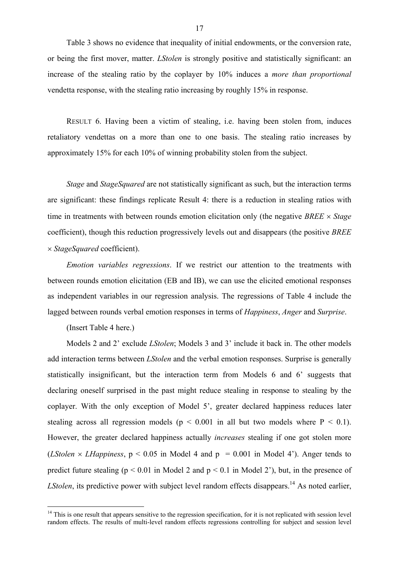Table 3 shows no evidence that inequality of initial endowments, or the conversion rate, or being the first mover, matter. *LStolen* is strongly positive and statistically significant: an increase of the stealing ratio by the coplayer by 10% induces a *more than proportional*  vendetta response, with the stealing ratio increasing by roughly 15% in response.

RESULT 6. Having been a victim of stealing, i.e. having been stolen from, induces retaliatory vendettas on a more than one to one basis. The stealing ratio increases by approximately 15% for each 10% of winning probability stolen from the subject.

*Stage* and *StageSquared* are not statistically significant as such, but the interaction terms are significant: these findings replicate Result 4: there is a reduction in stealing ratios with time in treatments with between rounds emotion elicitation only (the negative *BREE* × *Stage* coefficient), though this reduction progressively levels out and disappears (the positive *BREE* × *StageSquared* coefficient).

*Emotion variables regressions*. If we restrict our attention to the treatments with between rounds emotion elicitation (EB and IB), we can use the elicited emotional responses as independent variables in our regression analysis. The regressions of Table 4 include the lagged between rounds verbal emotion responses in terms of *Happiness*, *Anger* and *Surprise*.

(Insert Table 4 here.)

1

Models 2 and 2' exclude *LStolen*; Models 3 and 3' include it back in. The other models add interaction terms between *LStolen* and the verbal emotion responses. Surprise is generally statistically insignificant, but the interaction term from Models 6 and 6' suggests that declaring oneself surprised in the past might reduce stealing in response to stealing by the coplayer. With the only exception of Model 5', greater declared happiness reduces later stealing across all regression models ( $p \le 0.001$  in all but two models where  $P \le 0.1$ ). However, the greater declared happiness actually *increases* stealing if one got stolen more (*LStolen*  $\times$  *LHappiness*,  $p < 0.05$  in Model 4 and  $p = 0.001$  in Model 4'). Anger tends to predict future stealing ( $p < 0.01$  in Model 2 and  $p < 0.1$  in Model 2'), but, in the presence of *LStolen*, its predictive power with subject level random effects disappears.<sup>14</sup> As noted earlier,

 $14$  This is one result that appears sensitive to the regression specification, for it is not replicated with session level random effects. The results of multi-level random effects regressions controlling for subject and session level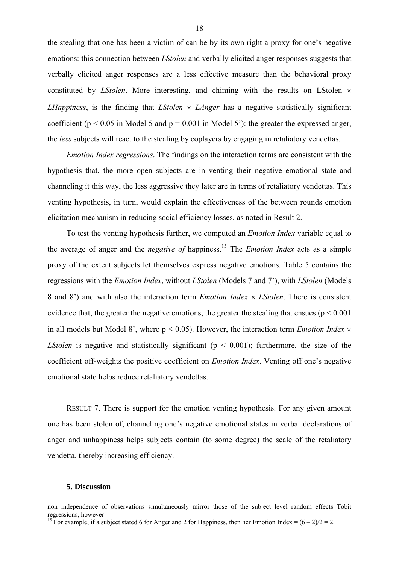the stealing that one has been a victim of can be by its own right a proxy for one's negative emotions: this connection between *LStolen* and verbally elicited anger responses suggests that verbally elicited anger responses are a less effective measure than the behavioral proxy constituted by *LStolen*. More interesting, and chiming with the results on LStolen  $\times$ *LHappiness*, is the finding that *LStolen* × *LAnger* has a negative statistically significant coefficient ( $p \le 0.05$  in Model 5 and  $p = 0.001$  in Model 5'): the greater the expressed anger, the *less* subjects will react to the stealing by coplayers by engaging in retaliatory vendettas.

*Emotion Index regressions*. The findings on the interaction terms are consistent with the hypothesis that, the more open subjects are in venting their negative emotional state and channeling it this way, the less aggressive they later are in terms of retaliatory vendettas. This venting hypothesis, in turn, would explain the effectiveness of the between rounds emotion elicitation mechanism in reducing social efficiency losses, as noted in Result 2.

To test the venting hypothesis further, we computed an *Emotion Index* variable equal to the average of anger and the *negative of* happiness.15 The *Emotion Index* acts as a simple proxy of the extent subjects let themselves express negative emotions. Table 5 contains the regressions with the *Emotion Index*, without *LStolen* (Models 7 and 7'), with *LStolen* (Models 8 and 8') and with also the interaction term *Emotion Index* × *LStolen*. There is consistent evidence that, the greater the negative emotions, the greater the stealing that ensues ( $p < 0.001$ ) in all models but Model 8', where  $p < 0.05$ ). However, the interaction term *Emotion Index*  $\times$ *LStolen* is negative and statistically significant ( $p < 0.001$ ); furthermore, the size of the coefficient off-weights the positive coefficient on *Emotion Index*. Venting off one's negative emotional state helps reduce retaliatory vendettas.

RESULT 7. There is support for the emotion venting hypothesis. For any given amount one has been stolen of, channeling one's negative emotional states in verbal declarations of anger and unhappiness helps subjects contain (to some degree) the scale of the retaliatory vendetta, thereby increasing efficiency.

### **5. Discussion**

non independence of observations simultaneously mirror those of the subject level random effects Tobit regressions, however.

<sup>&</sup>lt;sup>15</sup> For example, if a subject stated 6 for Anger and 2 for Happiness, then her Emotion Index =  $(6-2)/2 = 2$ .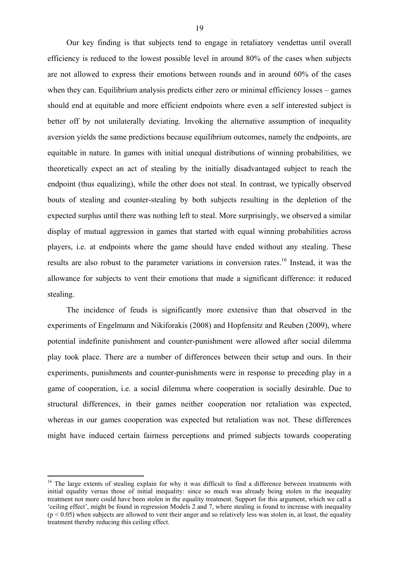Our key finding is that subjects tend to engage in retaliatory vendettas until overall efficiency is reduced to the lowest possible level in around 80% of the cases when subjects are not allowed to express their emotions between rounds and in around 60% of the cases when they can. Equilibrium analysis predicts either zero or minimal efficiency losses – games should end at equitable and more efficient endpoints where even a self interested subject is better off by not unilaterally deviating. Invoking the alternative assumption of inequality aversion yields the same predictions because equilibrium outcomes, namely the endpoints, are equitable in nature. In games with initial unequal distributions of winning probabilities, we theoretically expect an act of stealing by the initially disadvantaged subject to reach the endpoint (thus equalizing), while the other does not steal. In contrast, we typically observed bouts of stealing and counter-stealing by both subjects resulting in the depletion of the expected surplus until there was nothing left to steal. More surprisingly, we observed a similar display of mutual aggression in games that started with equal winning probabilities across players, i.e. at endpoints where the game should have ended without any stealing. These results are also robust to the parameter variations in conversion rates.<sup>16</sup> Instead, it was the allowance for subjects to vent their emotions that made a significant difference: it reduced stealing.

The incidence of feuds is significantly more extensive than that observed in the experiments of Engelmann and Nikiforakis (2008) and Hopfensitz and Reuben (2009), where potential indefinite punishment and counter-punishment were allowed after social dilemma play took place. There are a number of differences between their setup and ours. In their experiments, punishments and counter-punishments were in response to preceding play in a game of cooperation, i.e. a social dilemma where cooperation is socially desirable. Due to structural differences, in their games neither cooperation nor retaliation was expected, whereas in our games cooperation was expected but retaliation was not. These differences might have induced certain fairness perceptions and primed subjects towards cooperating

<sup>&</sup>lt;sup>16</sup> The large extents of stealing explain for why it was difficult to find a difference between treatments with initial equality versus those of initial inequality: since so much was already being stolen in the inequality treatment not more could have been stolen in the equality treatment. Support for this argument, which we call a 'ceiling effect', might be found in regression Models 2 and 7, where stealing is found to increase with inequality  $(p < 0.05)$  when subjects are allowed to vent their anger and so relatively less was stolen in, at least, the equality treatment thereby reducing this ceiling effect.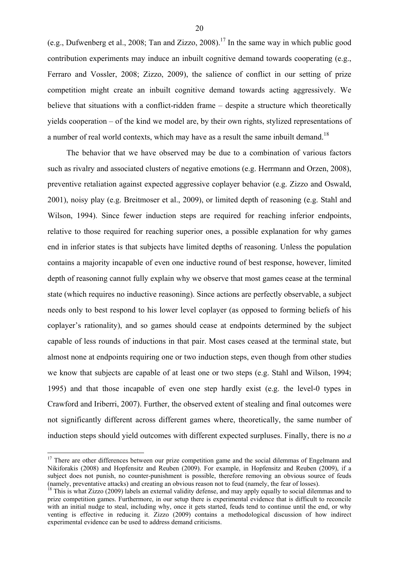(e.g., Dufwenberg et al., 2008; Tan and Zizzo, 2008).<sup>17</sup> In the same way in which public good contribution experiments may induce an inbuilt cognitive demand towards cooperating (e.g., Ferraro and Vossler, 2008; Zizzo, 2009), the salience of conflict in our setting of prize competition might create an inbuilt cognitive demand towards acting aggressively. We believe that situations with a conflict-ridden frame – despite a structure which theoretically yields cooperation – of the kind we model are, by their own rights, stylized representations of a number of real world contexts, which may have as a result the same inbuilt demand.<sup>18</sup>

The behavior that we have observed may be due to a combination of various factors such as rivalry and associated clusters of negative emotions (e.g. Herrmann and Orzen, 2008), preventive retaliation against expected aggressive coplayer behavior (e.g. Zizzo and Oswald, 2001), noisy play (e.g. Breitmoser et al., 2009), or limited depth of reasoning (e.g. Stahl and Wilson, 1994). Since fewer induction steps are required for reaching inferior endpoints, relative to those required for reaching superior ones, a possible explanation for why games end in inferior states is that subjects have limited depths of reasoning. Unless the population contains a majority incapable of even one inductive round of best response, however, limited depth of reasoning cannot fully explain why we observe that most games cease at the terminal state (which requires no inductive reasoning). Since actions are perfectly observable, a subject needs only to best respond to his lower level coplayer (as opposed to forming beliefs of his coplayer's rationality), and so games should cease at endpoints determined by the subject capable of less rounds of inductions in that pair. Most cases ceased at the terminal state, but almost none at endpoints requiring one or two induction steps, even though from other studies we know that subjects are capable of at least one or two steps (e.g. Stahl and Wilson, 1994; 1995) and that those incapable of even one step hardly exist (e.g. the level-0 types in Crawford and Iriberri, 2007). Further, the observed extent of stealing and final outcomes were not significantly different across different games where, theoretically, the same number of induction steps should yield outcomes with different expected surpluses. Finally, there is no *a* 

<sup>&</sup>lt;sup>17</sup> There are other differences between our prize competition game and the social dilemmas of Engelmann and Nikiforakis (2008) and Hopfensitz and Reuben (2009). For example, in Hopfensitz and Reuben (2009), if a subject does not punish, no counter-punishment is possible, therefore removing an obvious source of feuds (namely, preventative attacks) and creating an obvious reason not to feud (namely, the fear of losses). 18 This is what Zizzo (2009) labels an external validity defense, and may apply equally to social dilemmas and to

prize competition games. Furthermore, in our setup there is experimental evidence that is difficult to reconcile with an initial nudge to steal, including why, once it gets started, feuds tend to continue until the end, or why venting is effective in reducing it. Zizzo (2009) contains a methodological discussion of how indirect experimental evidence can be used to address demand criticisms.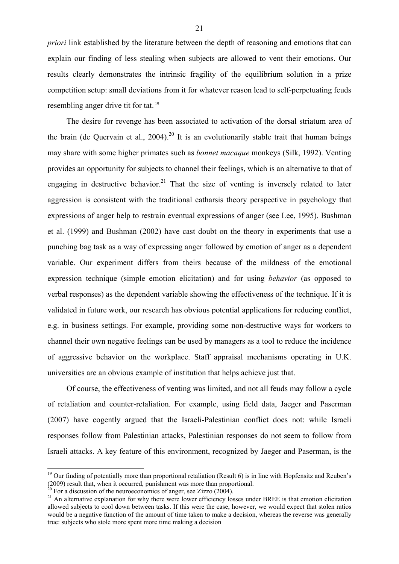*priori* link established by the literature between the depth of reasoning and emotions that can explain our finding of less stealing when subjects are allowed to vent their emotions. Our results clearly demonstrates the intrinsic fragility of the equilibrium solution in a prize competition setup: small deviations from it for whatever reason lead to self-perpetuating feuds resembling anger drive tit for tat. 19

The desire for revenge has been associated to activation of the dorsal striatum area of the brain (de Quervain et al.,  $2004$ )<sup>20</sup> It is an evolutionarily stable trait that human beings may share with some higher primates such as *bonnet macaque* monkeys (Silk, 1992). Venting provides an opportunity for subjects to channel their feelings, which is an alternative to that of engaging in destructive behavior.<sup>21</sup> That the size of venting is inversely related to later aggression is consistent with the traditional catharsis theory perspective in psychology that expressions of anger help to restrain eventual expressions of anger (see Lee, 1995). Bushman et al. (1999) and Bushman (2002) have cast doubt on the theory in experiments that use a punching bag task as a way of expressing anger followed by emotion of anger as a dependent variable. Our experiment differs from theirs because of the mildness of the emotional expression technique (simple emotion elicitation) and for using *behavior* (as opposed to verbal responses) as the dependent variable showing the effectiveness of the technique. If it is validated in future work, our research has obvious potential applications for reducing conflict, e.g. in business settings. For example, providing some non-destructive ways for workers to channel their own negative feelings can be used by managers as a tool to reduce the incidence of aggressive behavior on the workplace. Staff appraisal mechanisms operating in U.K. universities are an obvious example of institution that helps achieve just that.

Of course, the effectiveness of venting was limited, and not all feuds may follow a cycle of retaliation and counter-retaliation. For example, using field data, Jaeger and Paserman (2007) have cogently argued that the Israeli-Palestinian conflict does not: while Israeli responses follow from Palestinian attacks, Palestinian responses do not seem to follow from Israeli attacks. A key feature of this environment, recognized by Jaeger and Paserman, is the

 $19$  Our finding of potentially more than proportional retaliation (Result 6) is in line with Hopfensitz and Reuben's (2009) result that, when it occurred, punishment was more than proportional.

 $^{20}$  For a discussion of the neuroeconomics of anger, see Zizzo (2004).

 $21$  An alternative explanation for why there were lower efficiency losses under BREE is that emotion elicitation allowed subjects to cool down between tasks. If this were the case, however, we would expect that stolen ratios would be a negative function of the amount of time taken to make a decision, whereas the reverse was generally true: subjects who stole more spent more time making a decision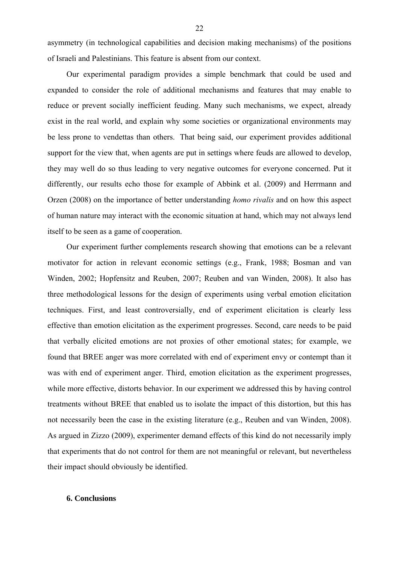asymmetry (in technological capabilities and decision making mechanisms) of the positions of Israeli and Palestinians. This feature is absent from our context.

Our experimental paradigm provides a simple benchmark that could be used and expanded to consider the role of additional mechanisms and features that may enable to reduce or prevent socially inefficient feuding. Many such mechanisms, we expect, already exist in the real world, and explain why some societies or organizational environments may be less prone to vendettas than others. That being said, our experiment provides additional support for the view that, when agents are put in settings where feuds are allowed to develop, they may well do so thus leading to very negative outcomes for everyone concerned. Put it differently, our results echo those for example of Abbink et al. (2009) and Herrmann and Orzen (2008) on the importance of better understanding *homo rivalis* and on how this aspect of human nature may interact with the economic situation at hand, which may not always lend itself to be seen as a game of cooperation.

Our experiment further complements research showing that emotions can be a relevant motivator for action in relevant economic settings (e.g., Frank, 1988; Bosman and van Winden, 2002; Hopfensitz and Reuben, 2007; Reuben and van Winden, 2008). It also has three methodological lessons for the design of experiments using verbal emotion elicitation techniques. First, and least controversially, end of experiment elicitation is clearly less effective than emotion elicitation as the experiment progresses. Second, care needs to be paid that verbally elicited emotions are not proxies of other emotional states; for example, we found that BREE anger was more correlated with end of experiment envy or contempt than it was with end of experiment anger. Third, emotion elicitation as the experiment progresses, while more effective, distorts behavior. In our experiment we addressed this by having control treatments without BREE that enabled us to isolate the impact of this distortion, but this has not necessarily been the case in the existing literature (e.g., Reuben and van Winden, 2008). As argued in Zizzo (2009), experimenter demand effects of this kind do not necessarily imply that experiments that do not control for them are not meaningful or relevant, but nevertheless their impact should obviously be identified.

### **6. Conclusions**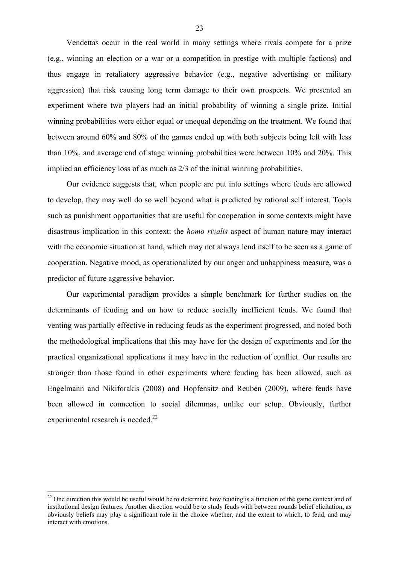Vendettas occur in the real world in many settings where rivals compete for a prize (e.g., winning an election or a war or a competition in prestige with multiple factions) and thus engage in retaliatory aggressive behavior (e.g., negative advertising or military aggression) that risk causing long term damage to their own prospects. We presented an experiment where two players had an initial probability of winning a single prize. Initial winning probabilities were either equal or unequal depending on the treatment. We found that between around 60% and 80% of the games ended up with both subjects being left with less than 10%, and average end of stage winning probabilities were between 10% and 20%. This implied an efficiency loss of as much as 2/3 of the initial winning probabilities.

Our evidence suggests that, when people are put into settings where feuds are allowed to develop, they may well do so well beyond what is predicted by rational self interest. Tools such as punishment opportunities that are useful for cooperation in some contexts might have disastrous implication in this context: the *homo rivalis* aspect of human nature may interact with the economic situation at hand, which may not always lend itself to be seen as a game of cooperation. Negative mood, as operationalized by our anger and unhappiness measure, was a predictor of future aggressive behavior.

Our experimental paradigm provides a simple benchmark for further studies on the determinants of feuding and on how to reduce socially inefficient feuds. We found that venting was partially effective in reducing feuds as the experiment progressed, and noted both the methodological implications that this may have for the design of experiments and for the practical organizational applications it may have in the reduction of conflict. Our results are stronger than those found in other experiments where feuding has been allowed, such as Engelmann and Nikiforakis (2008) and Hopfensitz and Reuben (2009), where feuds have been allowed in connection to social dilemmas, unlike our setup. Obviously, further experimental research is needed.<sup>22</sup>

 $22$  One direction this would be useful would be to determine how feuding is a function of the game context and of institutional design features. Another direction would be to study feuds with between rounds belief elicitation, as obviously beliefs may play a significant role in the choice whether, and the extent to which, to feud, and may interact with emotions.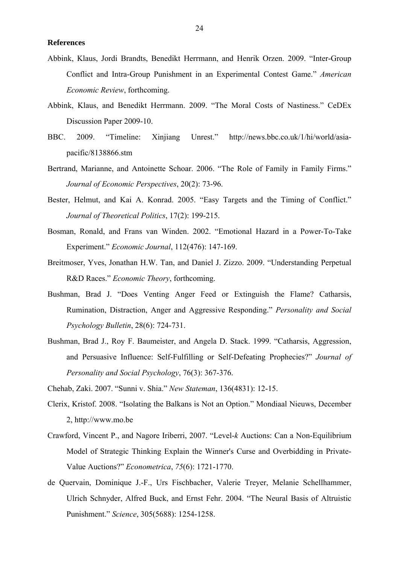### **References**

- Abbink, Klaus, Jordi Brandts, Benedikt Herrmann, and Henrik Orzen. 2009. "Inter-Group Conflict and Intra-Group Punishment in an Experimental Contest Game." *American Economic Review*, forthcoming.
- Abbink, Klaus, and Benedikt Herrmann. 2009. "The Moral Costs of Nastiness." CeDEx Discussion Paper 2009-10.
- BBC. 2009. "Timeline: Xinjiang Unrest." http://news.bbc.co.uk/1/hi/world/asiapacific/8138866.stm
- Bertrand, Marianne, and Antoinette Schoar. 2006. "The Role of Family in Family Firms." *Journal of Economic Perspectives*, 20(2): 73-96.
- Bester, Helmut, and Kai A. Konrad. 2005. "Easy Targets and the Timing of Conflict." *Journal of Theoretical Politics*, 17(2): 199-215.
- Bosman, Ronald, and Frans van Winden. 2002. "Emotional Hazard in a Power-To-Take Experiment." *Economic Journal*, 112(476): 147-169.
- Breitmoser, Yves, Jonathan H.W. Tan, and Daniel J. Zizzo. 2009. "Understanding Perpetual R&D Races." *Economic Theory*, forthcoming.
- Bushman, Brad J. "Does Venting Anger Feed or Extinguish the Flame? Catharsis, Rumination, Distraction, Anger and Aggressive Responding." *Personality and Social Psychology Bulletin*, 28(6): 724-731.
- Bushman, Brad J., Roy F. Baumeister, and Angela D. Stack. 1999. "Catharsis, Aggression, and Persuasive Influence: Self-Fulfilling or Self-Defeating Prophecies?" *Journal of Personality and Social Psychology*, 76(3): 367-376.
- Chehab, Zaki. 2007. "Sunni v. Shia." *New Stateman*, 136(4831): 12-15.
- Clerix, Kristof. 2008. "Isolating the Balkans is Not an Option." Mondiaal Nieuws, December 2, http://www.mo.be
- Crawford, Vincent P., and Nagore Iriberri, 2007. "Level-*k* Auctions: Can a Non-Equilibrium Model of Strategic Thinking Explain the Winner's Curse and Overbidding in Private-Value Auctions?" *Econometrica*, *75*(6): 1721-1770.
- de Quervain, Dominique J.-F., Urs Fischbacher, Valerie Treyer, Melanie Schellhammer, Ulrich Schnyder, Alfred Buck, and Ernst Fehr. 2004. "The Neural Basis of Altruistic Punishment." *Science*, 305(5688): 1254-1258.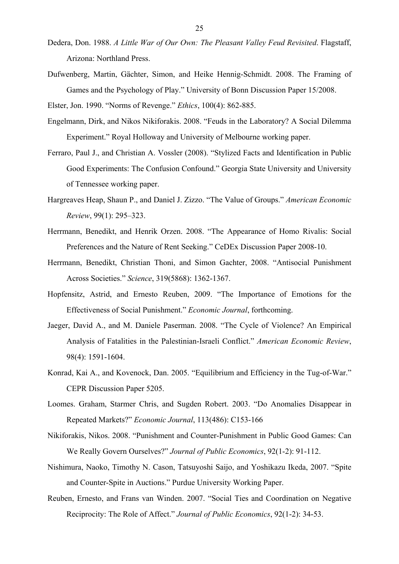- Dedera, Don. 1988. *A Little War of Our Own: The Pleasant Valley Feud Revisited*. Flagstaff, Arizona: Northland Press.
- Dufwenberg, Martin, Gächter, Simon, and Heike Hennig-Schmidt. 2008. The Framing of Games and the Psychology of Play." University of Bonn Discussion Paper 15/2008.

Elster, Jon. 1990. "Norms of Revenge." *Ethics*, 100(4): 862-885.

- Engelmann, Dirk, and Nikos Nikiforakis. 2008. "Feuds in the Laboratory? A Social Dilemma Experiment." Royal Holloway and University of Melbourne working paper.
- Ferraro, Paul J., and Christian A. Vossler (2008). "Stylized Facts and Identification in Public Good Experiments: The Confusion Confound." Georgia State University and University of Tennessee working paper.
- Hargreaves Heap, Shaun P., and Daniel J. Zizzo. "The Value of Groups." *American Economic Review*, 99(1): 295–323.
- Herrmann, Benedikt, and Henrik Orzen. 2008. "The Appearance of Homo Rivalis: Social Preferences and the Nature of Rent Seeking." CeDEx Discussion Paper 2008-10.
- Herrmann, Benedikt, Christian Thoni, and Simon Gachter, 2008. "Antisocial Punishment Across Societies." *Science*, 319(5868): 1362-1367.
- Hopfensitz, Astrid, and Ernesto Reuben, 2009. "The Importance of Emotions for the Effectiveness of Social Punishment." *Economic Journal*, forthcoming.
- Jaeger, David A., and M. Daniele Paserman. 2008. "The Cycle of Violence? An Empirical Analysis of Fatalities in the Palestinian-Israeli Conflict." *American Economic Review*, 98(4): 1591-1604.
- Konrad, Kai A., and Kovenock, Dan. 2005. "Equilibrium and Efficiency in the Tug-of-War." CEPR Discussion Paper 5205.
- Loomes. Graham, Starmer Chris, and Sugden Robert. 2003. "Do Anomalies Disappear in Repeated Markets?" *Economic Journal*, 113(486): C153-166
- Nikiforakis, Nikos. 2008. "Punishment and Counter-Punishment in Public Good Games: Can We Really Govern Ourselves?" *Journal of Public Economics*, 92(1-2): 91-112.
- Nishimura, Naoko, Timothy N. Cason, Tatsuyoshi Saijo, and Yoshikazu Ikeda, 2007. "Spite and Counter-Spite in Auctions." Purdue University Working Paper.
- Reuben, Ernesto, and Frans van Winden. 2007. "Social Ties and Coordination on Negative Reciprocity: The Role of Affect." *Journal of Public Economics*, 92(1-2): 34-53.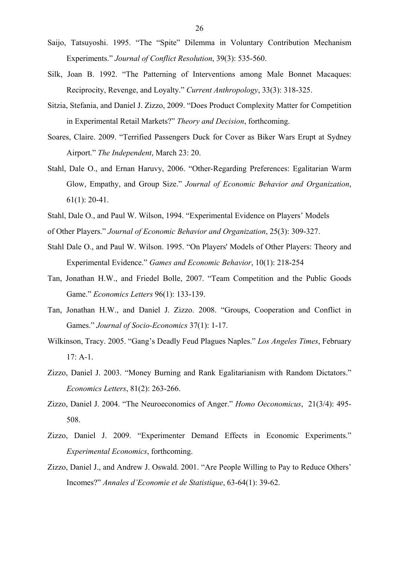- Saijo, Tatsuyoshi. 1995. "The "Spite" Dilemma in Voluntary Contribution Mechanism Experiments." *Journal of Conflict Resolution*, 39(3): 535-560.
- Silk, Joan B. 1992. "The Patterning of Interventions among Male Bonnet Macaques: Reciprocity, Revenge, and Loyalty." *Current Anthropology*, 33(3): 318-325.
- Sitzia, Stefania, and Daniel J. Zizzo, 2009. "Does Product Complexity Matter for Competition in Experimental Retail Markets?" *Theory and Decision*, forthcoming.
- Soares, Claire. 2009. "Terrified Passengers Duck for Cover as Biker Wars Erupt at Sydney Airport." *The Independent*, March 23: 20.
- Stahl, Dale O., and Ernan Haruvy, 2006. "Other-Regarding Preferences: Egalitarian Warm Glow, Empathy, and Group Size." *Journal of Economic Behavior and Organization*, 61(1): 20-41.
- Stahl, Dale O., and Paul W. Wilson, 1994. "Experimental Evidence on Players' Models
- of Other Players." *Journal of Economic Behavior and Organization*, 25(3): 309-327.
- Stahl Dale O., and Paul W. Wilson. 1995. "On Players' Models of Other Players: Theory and Experimental Evidence." *Games and Economic Behavior*, 10(1): 218-254
- Tan, Jonathan H.W., and Friedel Bolle, 2007. "Team Competition and the Public Goods Game." *Economics Letters* 96(1): 133-139.
- Tan, Jonathan H.W., and Daniel J. Zizzo. 2008. "Groups, Cooperation and Conflict in Games." *Journal of Socio-Economics* 37(1): 1-17.
- Wilkinson, Tracy. 2005. "Gang's Deadly Feud Plagues Naples." *Los Angeles Times*, February 17: A-1.
- Zizzo, Daniel J. 2003. "Money Burning and Rank Egalitarianism with Random Dictators." *Economics Letters*, 81(2): 263-266.
- Zizzo, Daniel J. 2004. "The Neuroeconomics of Anger." *Homo Oeconomicus*, 21(3/4): 495- 508.
- Zizzo, Daniel J. 2009. "Experimenter Demand Effects in Economic Experiments." *Experimental Economics*, forthcoming.
- Zizzo, Daniel J., and Andrew J. Oswald. 2001. "Are People Willing to Pay to Reduce Others' Incomes?" *Annales d'Economie et de Statistique*, 63-64(1): 39-62.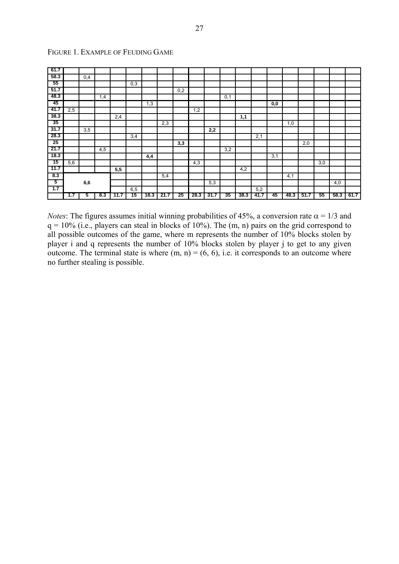| 61.7 |                  |     |     |      |     |      |      |     |      |      |     |      |      |     |      |      |     |     |               |
|------|------------------|-----|-----|------|-----|------|------|-----|------|------|-----|------|------|-----|------|------|-----|-----|---------------|
| 58.3 |                  | 0,4 |     |      |     |      |      |     |      |      |     |      |      |     |      |      |     |     |               |
| -55  |                  |     |     |      | 0,3 |      |      |     |      |      |     |      |      |     |      |      |     |     |               |
| 51.7 |                  |     |     |      |     |      |      | 0,2 |      |      |     |      |      |     |      |      |     |     |               |
| 48.3 |                  |     | 1,4 |      |     |      |      |     |      |      | 0,1 |      |      |     |      |      |     |     |               |
| 45   |                  |     |     |      |     | 1,3  |      |     |      |      |     |      |      | 0,0 |      |      |     |     |               |
| 41.7 | 2,5              |     |     |      |     |      |      |     | 1,2  |      |     |      |      |     |      |      |     |     |               |
| 38.3 |                  |     |     | 2,4  |     |      |      |     |      |      |     | 1,1  |      |     |      |      |     |     |               |
| 35   |                  |     |     |      |     |      | 2,3  |     |      |      |     |      |      |     | 1,0  |      |     |     |               |
| 31.7 |                  | 3,5 |     |      |     |      |      |     |      | 2,2  |     |      |      |     |      |      |     |     |               |
| 28.3 |                  |     |     |      | 3,4 |      |      |     |      |      |     |      | 2,1  |     |      |      |     |     |               |
| 25   |                  |     |     |      |     |      |      | 3,3 |      |      |     |      |      |     |      | 2,0  |     |     |               |
| 21.7 |                  |     | 4,5 |      |     |      |      |     |      |      | 3,2 |      |      |     |      |      |     |     |               |
| 18.3 |                  |     |     |      |     | 4,4  |      |     |      |      |     |      |      | 3,1 |      |      |     |     |               |
| 75   | 5,6              |     |     |      |     |      |      |     | 4,3  |      |     |      |      |     |      |      | 3,0 |     |               |
| 11.7 |                  |     |     | 5,5  |     |      |      |     |      |      |     | 4,2  |      |     |      |      |     |     |               |
| 8.3  |                  |     |     |      |     |      | 5,4  |     |      |      |     |      |      |     | 4,1  |      |     |     |               |
| 5    |                  | 6,6 |     |      |     |      |      |     |      | 5,3  |     |      |      |     |      |      |     | 4,0 |               |
| 1.7  |                  |     |     |      | 6,5 |      |      |     |      |      |     |      | 5,2  |     |      |      |     |     |               |
|      | 7.7 <sub>1</sub> | 5   | 8.3 | 11.7 | 15  | 18.3 | 21.7 | 25  | 28.3 | 31.7 | 35  | 38.3 | 41.7 | 45  | 48.3 | 51.7 | 55  |     | $58.3$   61.7 |

# FIGURE 1. EXAMPLE OF FEUDING GAME

*Notes*: The figures assumes initial winning probabilities of 45%, a conversion rate  $\alpha = 1/3$  and  $q = 10\%$  (i.e., players can steal in blocks of 10%). The (m, n) pairs on the grid correspond to all possible outcomes of the game, where m represents the number of 10% blocks stolen by player i and q represents the number of 10% blocks stolen by player j to get to any given outcome. The terminal state is where  $(m, n) = (6, 6)$ , i.e. it corresponds to an outcome where no further stealing is possible.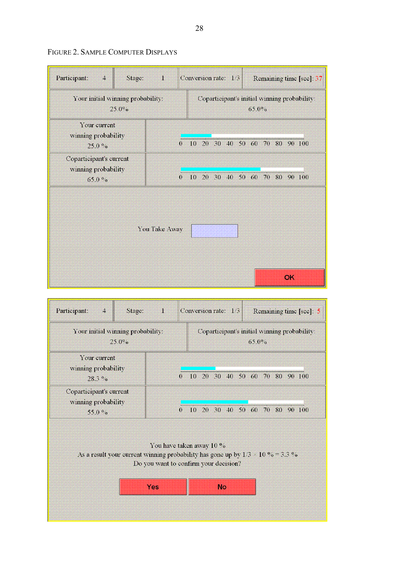| Participant:<br>$\overline{\mathbf{4}}$<br>Stage:       | Conversion rate: 1/3 |                                                       |  |  |  |  |  | Remaining time [sec]: 37 |    |  |  |  |
|---------------------------------------------------------|----------------------|-------------------------------------------------------|--|--|--|--|--|--------------------------|----|--|--|--|
| Your initial winning probability:<br>25.0%              |                      | Coparticipant's initial winning probability:<br>65.0% |  |  |  |  |  |                          |    |  |  |  |
| Your current<br>winning probability<br>25.0%            |                      | 0 10 20 30 40 50 60 70 80 90 100                      |  |  |  |  |  |                          |    |  |  |  |
| Coparticipant's current<br>winning probability<br>65.0% | $\overline{0}$       | 10 20 30 40 50 60 70 80 90 100                        |  |  |  |  |  |                          |    |  |  |  |
|                                                         | You Take Away        |                                                       |  |  |  |  |  |                          |    |  |  |  |
|                                                         |                      |                                                       |  |  |  |  |  |                          | OK |  |  |  |

# FIGURE 2. SAMPLE COMPUTER DISPLAYS

| Participant:<br>$\overline{4}$<br>Stage:                    | SI.      | Conversion rate: $1/3$         |  |          |  | Remaining time [see]: 5                      |
|-------------------------------------------------------------|----------|--------------------------------|--|----------|--|----------------------------------------------|
| Your initial winning probability:<br>$25.0\%$               |          |                                |  | $65.0\%$ |  | Coparticipant's initial winning probability: |
| Your current<br>winning probability<br>$28.3\%$             | $\Omega$ | 10 20 30 40 50 60 70 80 90 100 |  |          |  |                                              |
| Coparticipant's current<br>winning probability<br>55.0 $\%$ | $\Omega$ | 10 20 30 40 50 60 70 80 90 100 |  |          |  |                                              |

You have taken away 10 % As a result your current winning probability has gone up by  $1/3 \times 10\% = 3.3\%$ Do you want to confirm your decision?

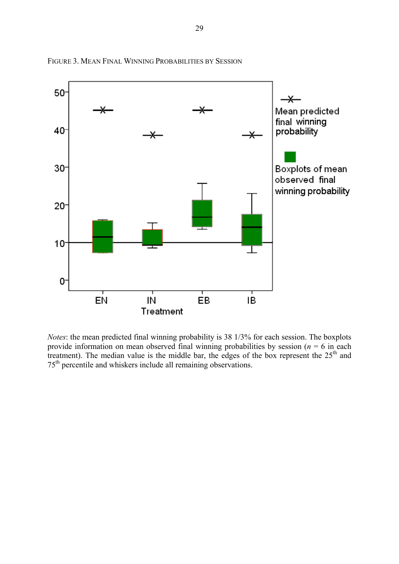

FIGURE 3. MEAN FINAL WINNING PROBABILITIES BY SESSION

*Notes*: the mean predicted final winning probability is 38 1/3% for each session. The boxplots provide information on mean observed final winning probabilities by session ( $n = 6$  in each treatment). The median value is the middle bar, the edges of the box represent the 25<sup>th</sup> and 75th percentile and whiskers include all remaining observations.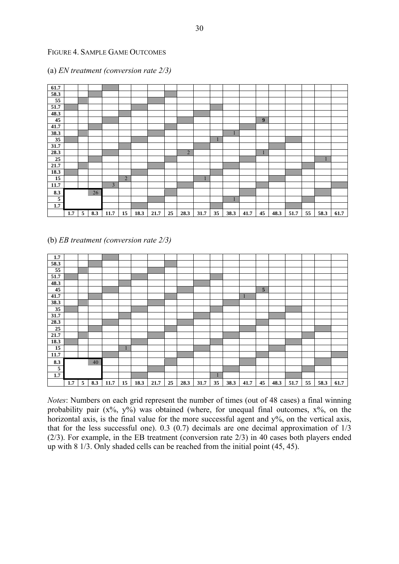# FIGURE 4. SAMPLE GAME OUTCOMES

| 61.7            |     |   |     |                |                |      |      |    |                |      |              |      |      |    |      |      |    |      |      |
|-----------------|-----|---|-----|----------------|----------------|------|------|----|----------------|------|--------------|------|------|----|------|------|----|------|------|
| 58.3            |     |   |     |                |                |      |      |    |                |      |              |      |      |    |      |      |    |      |      |
| $\overline{55}$ |     |   |     |                |                |      |      |    |                |      |              |      |      |    |      |      |    |      |      |
| 51.7            |     |   |     |                |                |      |      |    |                |      |              |      |      |    |      |      |    |      |      |
| 48.3            |     |   |     |                |                |      |      |    |                |      |              |      |      |    |      |      |    |      |      |
| 45              |     |   |     |                |                |      |      |    |                |      |              |      |      | 9  |      |      |    |      |      |
| 41.7            |     |   |     |                |                |      |      |    |                |      |              |      |      |    |      |      |    |      |      |
| 38.3            |     |   |     |                |                |      |      |    |                |      |              |      |      |    |      |      |    |      |      |
| $\overline{35}$ |     |   |     |                |                |      |      |    |                |      | $\mathbf{1}$ |      |      |    |      |      |    |      |      |
| 31.7            |     |   |     |                |                |      |      |    |                |      |              |      |      |    |      |      |    |      |      |
| 28.3            |     |   |     |                |                |      |      |    | $\overline{2}$ |      |              |      |      |    |      |      |    |      |      |
| 25              |     |   |     |                |                |      |      |    |                |      |              |      |      |    |      |      |    |      |      |
| 21.7            |     |   |     |                |                |      |      |    |                |      |              |      |      |    |      |      |    |      |      |
| 18.3            |     |   |     |                |                |      |      |    |                |      |              |      |      |    |      |      |    |      |      |
| $\overline{15}$ |     |   |     |                | $\overline{2}$ |      |      |    |                |      |              |      |      |    |      |      |    |      |      |
| 11.7            |     |   |     | $\overline{3}$ |                |      |      |    |                |      |              |      |      |    |      |      |    |      |      |
| 8.3             |     |   | 26  |                |                |      |      |    |                |      |              |      |      |    |      |      |    |      |      |
| $\overline{5}$  |     |   |     |                |                |      |      |    |                |      |              |      |      |    |      |      |    |      |      |
| 1.7             |     |   |     |                |                |      |      |    |                |      |              |      |      |    |      |      |    |      |      |
|                 | 1.7 | 5 | 8.3 | 11.7           | 15             | 18.3 | 21.7 | 25 | 28.3           | 31.7 | 35           | 38.3 | 41.7 | 45 | 48.3 | 51.7 | 55 | 58.3 | 61.7 |

# (a) *EN treatment (conversion rate 2/3)*

# (b) *EB treatment (conversion rate 2/3)*

| 1.7                     |     |   |     |      |    |      |      |    |      |      |    |      |      |    |      |      |    |      |      |
|-------------------------|-----|---|-----|------|----|------|------|----|------|------|----|------|------|----|------|------|----|------|------|
| 58.3                    |     |   |     |      |    |      |      |    |      |      |    |      |      |    |      |      |    |      |      |
| 55                      |     |   |     |      |    |      |      |    |      |      |    |      |      |    |      |      |    |      |      |
| 51.7                    |     |   |     |      |    |      |      |    |      |      |    |      |      |    |      |      |    |      |      |
| 48.3                    |     |   |     |      |    |      |      |    |      |      |    |      |      |    |      |      |    |      |      |
| 45                      |     |   |     |      |    |      |      |    |      |      |    |      |      | 5  |      |      |    |      |      |
| 41.7                    |     |   |     |      |    |      |      |    |      |      |    |      |      |    |      |      |    |      |      |
| 38.3                    |     |   |     |      |    |      |      |    |      |      |    |      |      |    |      |      |    |      |      |
| $\overline{35}$         |     |   |     |      |    |      |      |    |      |      |    |      |      |    |      |      |    |      |      |
| 31.7                    |     |   |     |      |    |      |      |    |      |      |    |      |      |    |      |      |    |      |      |
| 28.3                    |     |   |     |      |    |      |      |    |      |      |    |      |      |    |      |      |    |      |      |
| 25                      |     |   |     |      |    |      |      |    |      |      |    |      |      |    |      |      |    |      |      |
| 21.7                    |     |   |     |      |    |      |      |    |      |      |    |      |      |    |      |      |    |      |      |
| 18.3                    |     |   |     |      |    |      |      |    |      |      |    |      |      |    |      |      |    |      |      |
| 15                      |     |   |     |      |    |      |      |    |      |      |    |      |      |    |      |      |    |      |      |
| 11.7                    |     |   |     |      |    |      |      |    |      |      |    |      |      |    |      |      |    |      |      |
| 8.3                     |     |   | 40  |      |    |      |      |    |      |      |    |      |      |    |      |      |    |      |      |
| $\overline{\mathbf{5}}$ |     |   |     |      |    |      |      |    |      |      |    |      |      |    |      |      |    |      |      |
| 1.7                     |     |   |     |      |    |      |      |    |      |      |    |      |      |    |      |      |    |      |      |
|                         | 1.7 | 5 | 8.3 | 11.7 | 15 | 18.3 | 21.7 | 25 | 28.3 | 31.7 | 35 | 38.3 | 41.7 | 45 | 48.3 | 51.7 | 55 | 58.3 | 61.7 |

*Notes*: Numbers on each grid represent the number of times (out of 48 cases) a final winning probability pair  $(x\%, y\%)$  was obtained (where, for unequal final outcomes,  $x\%$ , on the horizontal axis, is the final value for the more successful agent and y%, on the vertical axis, that for the less successful one).  $0.3$  (0.7) decimals are one decimal approximation of  $1/3$ (2/3). For example, in the EB treatment (conversion rate 2/3) in 40 cases both players ended up with 8 1/3. Only shaded cells can be reached from the initial point (45, 45).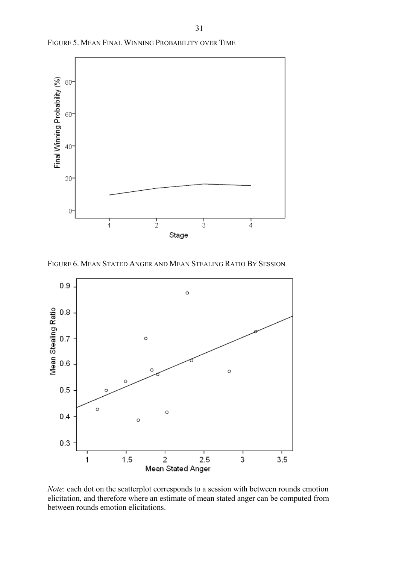

FIGURE 5. MEAN FINAL WINNING PROBABILITY OVER TIME

FIGURE 6. MEAN STATED ANGER AND MEAN STEALING RATIO BY SESSION



*Note*: each dot on the scatterplot corresponds to a session with between rounds emotion elicitation, and therefore where an estimate of mean stated anger can be computed from between rounds emotion elicitations.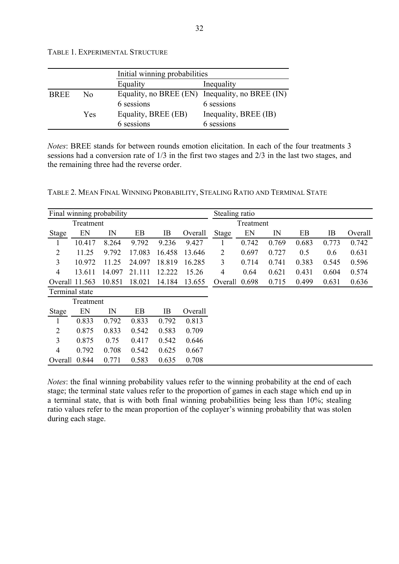|  | TABLE 1. EXPERIMENTAL STRUCTURE |  |
|--|---------------------------------|--|
|--|---------------------------------|--|

|             |     | Initial winning probabilities |                                                 |
|-------------|-----|-------------------------------|-------------------------------------------------|
|             |     | Equality                      | Inequality                                      |
| <b>BREE</b> | Nο  |                               | Equality, no BREE (EN) Inequality, no BREE (IN) |
|             |     | 6 sessions                    | 6 sessions                                      |
|             | Yes | Equality, BREE (EB)           | Inequality, BREE (IB)                           |
|             |     | 6 sessions                    | 6 sessions                                      |

*Notes*: BREE stands for between rounds emotion elicitation. In each of the four treatments 3 sessions had a conversion rate of 1/3 in the first two stages and 2/3 in the last two stages, and the remaining three had the reverse order.

|                |           | Final winning probability |        |        |         | Stealing ratio |           |       |       |       |         |  |  |  |
|----------------|-----------|---------------------------|--------|--------|---------|----------------|-----------|-------|-------|-------|---------|--|--|--|
|                | Treatment |                           |        |        |         |                | Treatment |       |       |       |         |  |  |  |
| <b>Stage</b>   | EN        | IN                        | EB     | IB     | Overall | Stage          | EN        | IN    | EB    | IB    | Overall |  |  |  |
| 1              | 10.417    | 8.264                     | 9.792  | 9.236  | 9.427   |                | 0.742     | 0.769 | 0.683 | 0.773 | 0.742   |  |  |  |
| $\overline{2}$ | 11.25     | 9.792                     | 17.083 | 16.458 | 13.646  | $\overline{2}$ | 0.697     | 0.727 | 0.5   | 0.6   | 0.631   |  |  |  |
| 3              | 10.972    | 11.25                     | 24.097 | 18.819 | 16.285  | 3              | 0.714     | 0.741 | 0.383 | 0.545 | 0.596   |  |  |  |
| $\overline{4}$ | 13.611    | 14.097                    | 21.111 | 12.222 | 15.26   | 4              | 0.64      | 0.621 | 0.431 | 0.604 | 0.574   |  |  |  |
| Overall 11.563 |           | 10.851                    | 18.021 | 14.184 | 13.655  | Overall        | 0.698     | 0.715 | 0.499 | 0.631 | 0.636   |  |  |  |
| Terminal state |           |                           |        |        |         |                |           |       |       |       |         |  |  |  |
|                | Treatment |                           |        |        |         |                |           |       |       |       |         |  |  |  |
| <b>Stage</b>   | EN        | IN                        | EB     | IB     | Overall |                |           |       |       |       |         |  |  |  |
| 1              | 0.833     | 0.792                     | 0.833  | 0.792  | 0.813   |                |           |       |       |       |         |  |  |  |
| $\overline{2}$ | 0.875     | 0.833                     | 0.542  | 0.583  | 0.709   |                |           |       |       |       |         |  |  |  |
| 3              | 0.875     | 0.75                      | 0.417  | 0.542  | 0.646   |                |           |       |       |       |         |  |  |  |
| $\overline{4}$ | 0.792     | 0.708                     | 0.542  | 0.625  | 0.667   |                |           |       |       |       |         |  |  |  |
| Overall 0.844  |           | 0.771                     | 0.583  | 0.635  | 0.708   |                |           |       |       |       |         |  |  |  |

*Notes*: the final winning probability values refer to the winning probability at the end of each stage; the terminal state values refer to the proportion of games in each stage which end up in a terminal state, that is with both final winning probabilities being less than 10%; stealing ratio values refer to the mean proportion of the coplayer's winning probability that was stolen during each stage.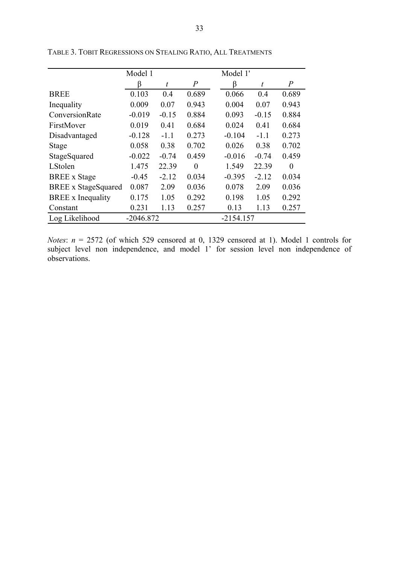|                            | Model 1     |         |                | Model 1'    |         |                |
|----------------------------|-------------|---------|----------------|-------------|---------|----------------|
|                            | β           | t       | $\overline{P}$ | ß           | t       | $\overline{P}$ |
| <b>BREE</b>                | 0.103       | 0.4     | 0.689          | 0.066       | 0.4     | 0.689          |
| Inequality                 | 0.009       | 0.07    | 0.943          | 0.004       | 0.07    | 0.943          |
| ConversionRate             | $-0.019$    | $-0.15$ | 0.884          | 0.093       | $-0.15$ | 0.884          |
| FirstMover                 | 0.019       | 0.41    | 0.684          | 0.024       | 0.41    | 0.684          |
| Disadvantaged              | $-0.128$    | $-1.1$  | 0.273          | $-0.104$    | $-1.1$  | 0.273          |
| Stage                      | 0.058       | 0.38    | 0.702          | 0.026       | 0.38    | 0.702          |
| StageSquared               | $-0.022$    | $-0.74$ | 0.459          | $-0.016$    | $-0.74$ | 0.459          |
| LStolen                    | 1.475       | 22.39   | $\Omega$       | 1.549       | 22.39   | $\theta$       |
| <b>BREE</b> x Stage        | $-0.45$     | $-2.12$ | 0.034          | $-0.395$    | $-2.12$ | 0.034          |
| <b>BREE</b> x StageSquared | 0.087       | 2.09    | 0.036          | 0.078       | 2.09    | 0.036          |
| <b>BREE</b> x Inequality   | 0.175       | 1.05    | 0.292          | 0.198       | 1.05    | 0.292          |
| Constant                   | 0.231       | 1.13    | 0.257          | 0.13        | 1.13    | 0.257          |
| Log Likelihood             | $-2046.872$ |         |                | $-2154.157$ |         |                |

TABLE 3. TOBIT REGRESSIONS ON STEALING RATIO, ALL TREATMENTS

*Notes*:  $n = 2572$  (of which 529 censored at 0, 1329 censored at 1). Model 1 controls for subject level non independence, and model 1' for session level non independence of observations.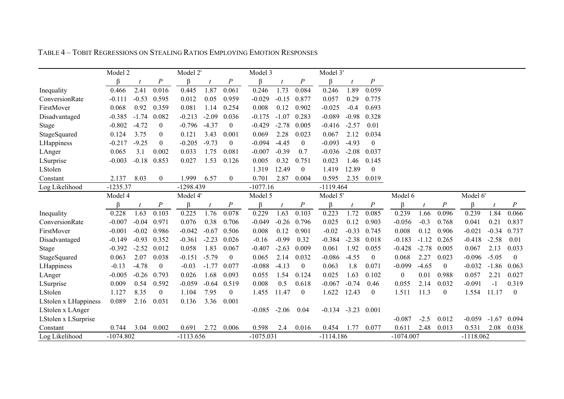|                      | Model 2     |         |                  | Model 2'    |                  |                  | Model 3     |         |                  | Model 3'    |         |                  |             |         |                  |             |         |                |
|----------------------|-------------|---------|------------------|-------------|------------------|------------------|-------------|---------|------------------|-------------|---------|------------------|-------------|---------|------------------|-------------|---------|----------------|
|                      | ß           |         | $\boldsymbol{P}$ | ß           |                  | $\cal P$         | ß           |         | $\cal P$         | R           |         | $\cal P$         |             |         |                  |             |         |                |
| Inequality           | 0.466       | 2.41    | 0.016            | 0.445       | 1.87             | 0.061            | 0.246       | 1.73    | 0.084            | 0.246       | 1.89    | 0.059            |             |         |                  |             |         |                |
| ConversionRate       | $-0.111$    | $-0.53$ | 0.595            | 0.012       | 0.05             | 0.959            | $-0.029$    | $-0.15$ | 0.877            | 0.057       | 0.29    | 0.775            |             |         |                  |             |         |                |
| FirstMover           | 0.068       | 0.92    | 0.359            | 0.081       | 1.14             | 0.254            | 0.008       | 0.12    | 0.902            | $-0.025$    | $-0.4$  | 0.693            |             |         |                  |             |         |                |
| Disadvantaged        | $-0.385$    | $-1.74$ | 0.082            | $-0.213$    | $-2.09$          | 0.036            | $-0.175$    | $-1.07$ | 0.283            | $-0.089$    | $-0.98$ | 0.328            |             |         |                  |             |         |                |
| Stage                | $-0.802$    | $-4.72$ | $\mathbf{0}$     | $-0.796$    | $-4.37$          | $\boldsymbol{0}$ | $-0.429$    | $-2.78$ | 0.005            | $-0.416$    | $-2.57$ | 0.01             |             |         |                  |             |         |                |
| StageSquared         | 0.124       | 3.75    | $\mathbf{0}$     | 0.121       | 3.43             | 0.001            | 0.069       | 2.28    | 0.023            | 0.067       | 2.12    | 0.034            |             |         |                  |             |         |                |
| LHappiness           | $-0.217$    | $-9.25$ | $\mathbf{0}$     | $-0.205$    | $-9.73$          | $\theta$         | $-0.094$    | $-4.45$ | $\mathbf{0}$     | $-0.093$    | $-4.93$ | $\boldsymbol{0}$ |             |         |                  |             |         |                |
| LAnger               | 0.065       | 3.1     | 0.002            | 0.033       | 1.75             | 0.081            | $-0.007$    | $-0.39$ | 0.7              | $-0.036$    | $-2.08$ | 0.037            |             |         |                  |             |         |                |
| LSurprise            | $-0.003$    | $-0.18$ | 0.853            | 0.027       | 1.53             | 0.126            | 0.005       | 0.32    | 0.751            | 0.023       | 1.46    | 0.145            |             |         |                  |             |         |                |
| LStolen              |             |         |                  |             |                  |                  | 1.319       | 12.49   | $\mathbf{0}$     | 1.419       | 12.89   | $\boldsymbol{0}$ |             |         |                  |             |         |                |
| Constant             | 2.137       | 8.03    | $\overline{0}$   | 1.999       | 6.57             | $\overline{0}$   | 0.701       | 2.87    | 0.004            | 0.595       | 2.35    | 0.019            |             |         |                  |             |         |                |
| Log Likelihood       | $-1235.37$  |         |                  | $-1298.439$ |                  |                  | $-1077.16$  |         |                  | $-1119.464$ |         |                  |             |         |                  |             |         |                |
|                      | Model 4     |         |                  | Model 4'    |                  |                  | Model 5     |         |                  | Model 5'    |         |                  | Model 6     |         |                  | Model 6'    |         |                |
|                      | β           |         | $\boldsymbol{P}$ | $\beta$     | $\boldsymbol{t}$ | $\boldsymbol{P}$ | $\beta$     |         | $\boldsymbol{P}$ | $\beta$     | t       | $\boldsymbol{P}$ | $\beta$     |         | $\cal P$         | ß.          |         | $\cal P$       |
| Inequality           | 0.228       | 1.63    | 0.103            | 0.225       | 1.76             | 0.078            | 0.229       | 1.63    | 0.103            | 0.223       | 1.72    | 0.085            | 0.239       | 1.66    | 0.096            | 0.239       | 1.84    | 0.066          |
| ConversionRate       | $-0.007$    | $-0.04$ | 0.971            | 0.076       | 0.38             | 0.706            | $-0.049$    | $-0.26$ | 0.796            | 0.025       | 0.12    | 0.903            | $-0.056$    | $-0.3$  | 0.768            | 0.041       | 0.21    | 0.837          |
| FirstMover           | $-0.001$    | $-0.02$ | 0.986            | $-0.042$    | $-0.67$          | 0.506            | 0.008       | 0.12    | 0.901            | $-0.02$     | $-0.33$ | 0.745            | 0.008       | 0.12    | 0.906            | $-0.021$    | $-0.34$ | 0.737          |
| Disadvantaged        | $-0.149$    | $-0.93$ | 0.352            | $-0.361$    | $-2.23$          | 0.026            | $-0.16$     | $-0.99$ | 0.32             | $-0.384$    | $-2.38$ | 0.018            | $-0.183$    | $-1.12$ | 0.265            | $-0.418$    | $-2.58$ | 0.01           |
| Stage                | $-0.392$    | $-2.52$ | 0.012            | 0.058       | 1.83             | 0.067            | $-0.407$    | $-2.63$ | 0.009            | 0.061       | 1.92    | 0.055            | $-0.428$    | $-2.78$ | 0.005            | 0.067       | 2.13    | 0.033          |
| StageSquared         | 0.063       | 2.07    | 0.038            | $-0.151$    | $-5.79$          | $\boldsymbol{0}$ | 0.065       | 2.14    | 0.032            | $-0.086$    | $-4.55$ | $\boldsymbol{0}$ | 0.068       | 2.27    | 0.023            | $-0.096$    | $-5.05$ | $\mathbf{0}$   |
| LHappiness           | $-0.13$     | $-4.78$ | $\theta$         | $-0.03$     | $-1.77$          | 0.077            | $-0.088$    | $-4.13$ | $\overline{0}$   | 0.063       | 1.8     | 0.071            | $-0.099$    | $-4.65$ | $\boldsymbol{0}$ | $-0.032$    | $-1.86$ | 0.063          |
| LAnger               | $-0.005$    | $-0.26$ | 0.793            | 0.026       | 1.68             | 0.093            | 0.055       | 1.54    | 0.124            | 0.025       | 1.63    | 0.102            | $\theta$    | 0.01    | 0.988            | 0.057       | 2.21    | 0.027          |
| LSurprise            | 0.009       | 0.54    | 0.592            | $-0.059$    | $-0.64$          | 0.519            | 0.008       | 0.5     | 0.618            | $-0.067$    | $-0.74$ | 0.46             | 0.055       | 2.14    | 0.032            | $-0.091$    | $-1$    | 0.319          |
| LStolen              | 1.127       | 8.35    | $\overline{0}$   | 1.104       | 7.95             | $\theta$         | 1.455       | 11.47   | $\overline{0}$   | 1.622       | 12.43   | $\mathbf{0}$     | 1.511       | 11.3    | $\boldsymbol{0}$ | 1.554       | 11.17   | $\overline{0}$ |
| LStolen x LHappiness | 0.089       | 2.16    | 0.031            | 0.136       | 3.36             | 0.001            |             |         |                  |             |         |                  |             |         |                  |             |         |                |
| LStolen x LAnger     |             |         |                  |             |                  |                  | $-0.085$    | $-2.06$ | 0.04             | $-0.134$    | $-3.23$ | 0.001            |             |         |                  |             |         |                |
| LStolen x LSurprise  |             |         |                  |             |                  |                  |             |         |                  |             |         |                  | $-0.087$    | $-2.5$  | 0.012            | $-0.059$    | $-1.67$ | 0.094          |
| Constant             | 0.744       | 3.04    | 0.002            | 0.691       | 2.72             | 0.006            | 0.598       | 2.4     | 0.016            | 0.454       | 1.77    | 0.077            | 0.611       | 2.48    | 0.013            | 0.531       | 2.08    | 0.038          |
| Log Likelihood       | $-1074.802$ |         |                  | $-1113.656$ |                  |                  | $-1075.031$ |         |                  | $-1114.186$ |         |                  | $-1074.007$ |         |                  | $-1118.062$ |         |                |

TABLE 4 – TOBIT REGRESSIONS ON STEALING RATIOS EMPLOYING EMOTION RESPONSES